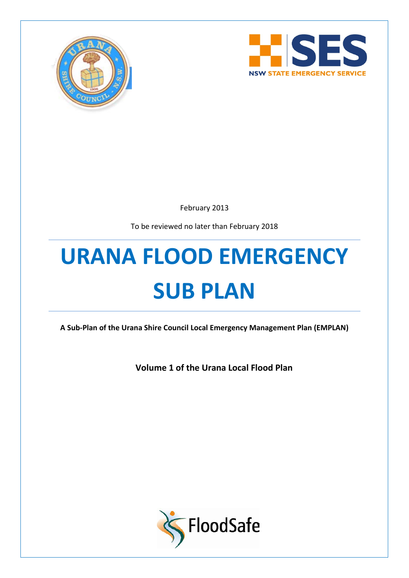



February 2013

To be reviewed no later than February 2018

# **URANA FLOOD EMERGENCY SUB PLAN**

**A Sub-Plan of the Urana Shire Council Local Emergency Management Plan (EMPLAN)**

**Volume 1 of the Urana Local Flood Plan**

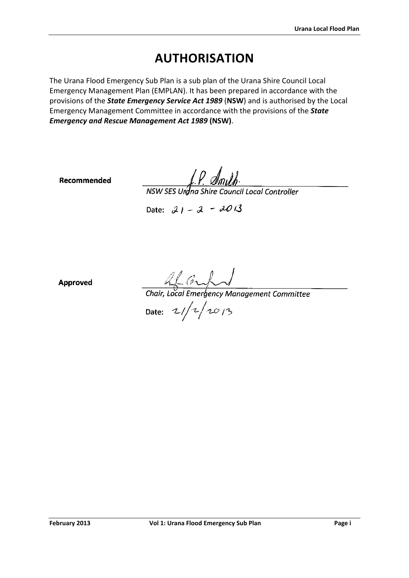# **AUTHORISATION**

<span id="page-1-0"></span>The Urana Flood Emergency Sub Plan is a sub plan of the Urana Shire Council Local Emergency Management Plan (EMPLAN). It has been prepared in accordance with the provisions of the *State Emergency Service Act 1989* (**NSW**) and is authorised by the Local Emergency Management Committee in accordance with the provisions of the *State Emergency and Rescue Management Act 1989* **(NSW)**.

Recommended

 $f.P.$  Am University of American Controller<br>NSW SES Unang Shire Council Local Controller

Date:  $21 - 2 - 2013$ 

**Approved** 

AL Graham de Contra Committee

Date:  $21/2/2013$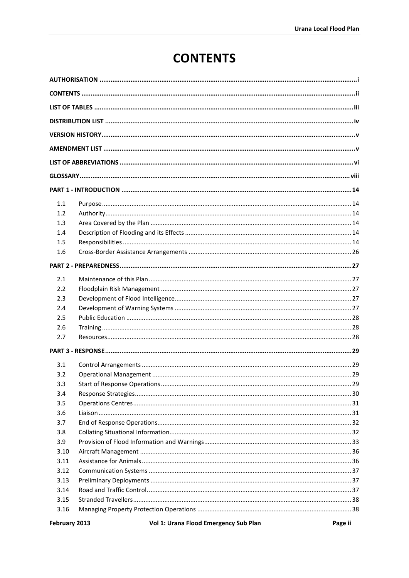# **CONTENTS**

<span id="page-2-0"></span>

| 1.1  |  |  |  |
|------|--|--|--|
| 1.2  |  |  |  |
| 1.3  |  |  |  |
| 1.4  |  |  |  |
| 1.5  |  |  |  |
| 1.6  |  |  |  |
|      |  |  |  |
| 2.1  |  |  |  |
| 2.2  |  |  |  |
| 2.3  |  |  |  |
| 2.4  |  |  |  |
| 2.5  |  |  |  |
| 2.6  |  |  |  |
| 2.7  |  |  |  |
|      |  |  |  |
| 3.1  |  |  |  |
| 3.2  |  |  |  |
| 3.3  |  |  |  |
| 3.4  |  |  |  |
| 3.5  |  |  |  |
| 3.6  |  |  |  |
| 3.7  |  |  |  |
| 3.8  |  |  |  |
| 3.9  |  |  |  |
| 3.10 |  |  |  |
| 3.11 |  |  |  |
| 3.12 |  |  |  |
| 3.13 |  |  |  |
| 3.14 |  |  |  |
| 3.15 |  |  |  |
| 3.16 |  |  |  |
|      |  |  |  |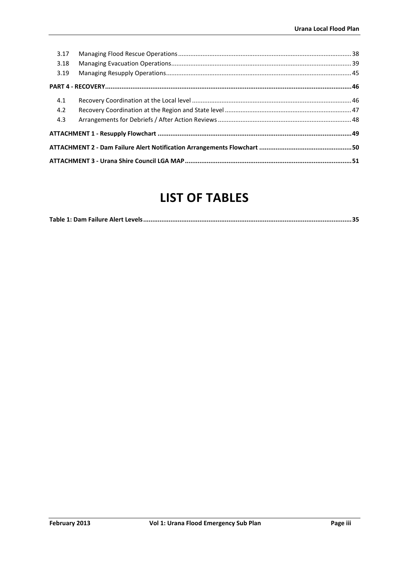| 3.17 |  |  |  |
|------|--|--|--|
| 3.18 |  |  |  |
| 3.19 |  |  |  |
|      |  |  |  |
| 4.1  |  |  |  |
| 4.2  |  |  |  |
| 4.3  |  |  |  |
|      |  |  |  |
|      |  |  |  |
|      |  |  |  |

# **LIST OF TABLES**

<span id="page-3-0"></span>

|--|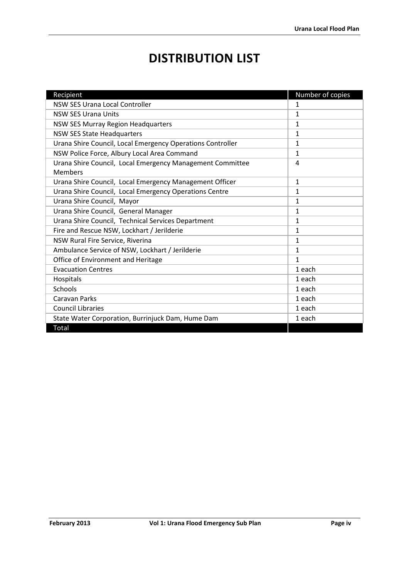# **DISTRIBUTION LIST**

<span id="page-4-0"></span>

| Recipient                                                  | Number of copies |
|------------------------------------------------------------|------------------|
| <b>NSW SES Urana Local Controller</b>                      | $\mathbf{1}$     |
| <b>NSW SES Urana Units</b>                                 | $\mathbf{1}$     |
| NSW SES Murray Region Headquarters                         | 1                |
| <b>NSW SES State Headquarters</b>                          | $\mathbf{1}$     |
| Urana Shire Council, Local Emergency Operations Controller | $\mathbf{1}$     |
| NSW Police Force, Albury Local Area Command                | 1                |
| Urana Shire Council, Local Emergency Management Committee  | 4                |
| <b>Members</b>                                             |                  |
| Urana Shire Council, Local Emergency Management Officer    | $\mathbf{1}$     |
| Urana Shire Council, Local Emergency Operations Centre     | 1                |
| Urana Shire Council, Mayor                                 | $\mathbf{1}$     |
| Urana Shire Council, General Manager                       | $\mathbf{1}$     |
| Urana Shire Council, Technical Services Department         | $\mathbf{1}$     |
| Fire and Rescue NSW, Lockhart / Jerilderie                 | 1                |
| NSW Rural Fire Service, Riverina                           | 1                |
| Ambulance Service of NSW, Lockhart / Jerilderie            | 1                |
| Office of Environment and Heritage                         | 1                |
| <b>Evacuation Centres</b>                                  | 1 each           |
| Hospitals                                                  | 1 each           |
| Schools                                                    | 1 each           |
| <b>Caravan Parks</b>                                       | 1 each           |
| <b>Council Libraries</b>                                   | 1 each           |
| State Water Corporation, Burrinjuck Dam, Hume Dam          | 1 each           |
| Total                                                      |                  |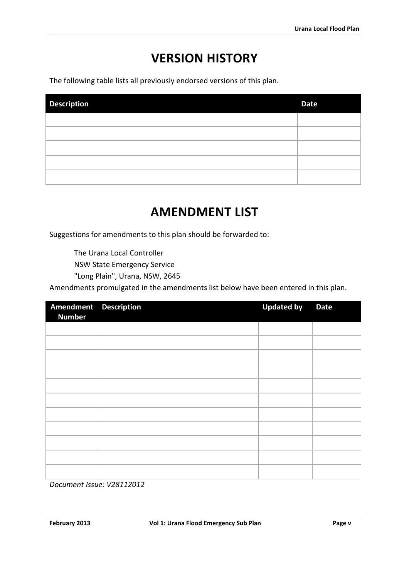# **VERSION HISTORY**

<span id="page-5-0"></span>The following table lists all previously endorsed versions of this plan.

| <b>Description</b> | <b>Date</b> |
|--------------------|-------------|
|                    |             |
|                    |             |
|                    |             |
|                    |             |
|                    |             |

# **AMENDMENT LIST**

<span id="page-5-1"></span>Suggestions for amendments to this plan should be forwarded to:

The Urana Local Controller

NSW State Emergency Service

"Long Plain", Urana, NSW, 2645

Amendments promulgated in the amendments list below have been entered in this plan.

| Amendment Description<br><b>Number</b> | <b>Updated by</b> | <b>Date</b> |
|----------------------------------------|-------------------|-------------|
|                                        |                   |             |
|                                        |                   |             |
|                                        |                   |             |
|                                        |                   |             |
|                                        |                   |             |
|                                        |                   |             |
|                                        |                   |             |
|                                        |                   |             |
|                                        |                   |             |
|                                        |                   |             |
|                                        |                   |             |

*Document Issue: V28112012*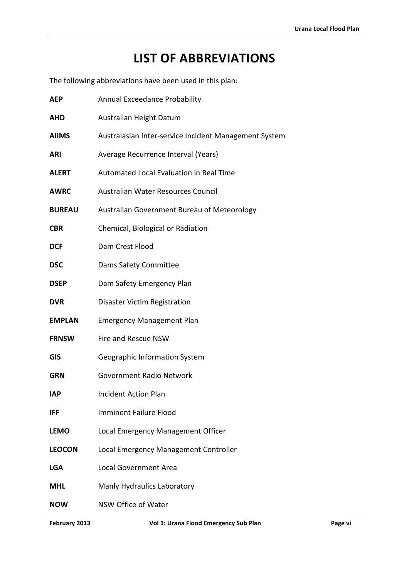# **LIST OF ABBREVIATIONS**

<span id="page-6-0"></span>The following abbreviations have been used in this plan:

| <b>AEP</b>    | Annual Exceedance Probability                         |  |  |
|---------------|-------------------------------------------------------|--|--|
| <b>AHD</b>    | Australian Height Datum                               |  |  |
| <b>AIIMS</b>  | Australasian Inter-service Incident Management System |  |  |
| <b>ARI</b>    | Average Recurrence Interval (Years)                   |  |  |
| <b>ALERT</b>  | Automated Local Evaluation in Real Time               |  |  |
| <b>AWRC</b>   | Australian Water Resources Council                    |  |  |
| <b>BUREAU</b> | Australian Government Bureau of Meteorology           |  |  |
| <b>CBR</b>    | Chemical, Biological or Radiation                     |  |  |
| <b>DCF</b>    | Dam Crest Flood                                       |  |  |
| <b>DSC</b>    | Dams Safety Committee                                 |  |  |
| <b>DSEP</b>   | Dam Safety Emergency Plan                             |  |  |
| <b>DVR</b>    | Disaster Victim Registration                          |  |  |
| <b>EMPLAN</b> | <b>Emergency Management Plan</b>                      |  |  |
| <b>FRNSW</b>  | Fire and Rescue NSW                                   |  |  |
| <b>GIS</b>    | Geographic Information System                         |  |  |
| <b>GRN</b>    | <b>Government Radio Network</b>                       |  |  |
| <b>IAP</b>    | <b>Incident Action Plan</b>                           |  |  |
| IFF           | <b>Imminent Failure Flood</b>                         |  |  |
| <b>LEMO</b>   | Local Emergency Management Officer                    |  |  |
| <b>LEOCON</b> | Local Emergency Management Controller                 |  |  |
| <b>LGA</b>    | <b>Local Government Area</b>                          |  |  |
| <b>MHL</b>    | Manly Hydraulics Laboratory                           |  |  |
| <b>NOW</b>    | NSW Office of Water                                   |  |  |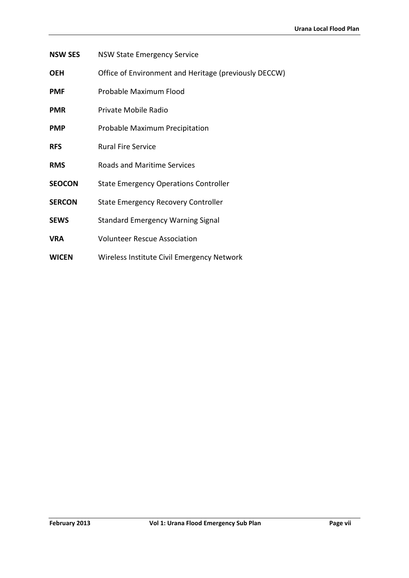- **NSW SES** NSW State Emergency Service
- **OEH** Office of Environment and Heritage (previously DECCW)
- **PMF** Probable Maximum Flood
- **PMR** Private Mobile Radio
- **PMP** Probable Maximum Precipitation
- **RFS** Rural Fire Service
- **RMS** Roads and Maritime Services
- **SEOCON** State Emergency Operations Controller
- **SERCON** State Emergency Recovery Controller
- **SEWS** Standard Emergency Warning Signal
- **VRA** Volunteer Rescue Association
- **WICEN** Wireless Institute Civil Emergency Network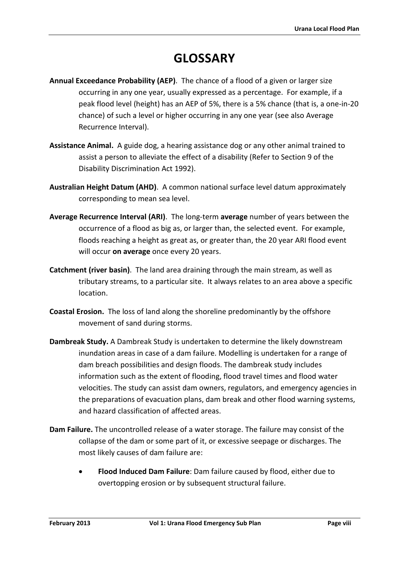# **GLOSSARY**

- <span id="page-8-0"></span>**Annual Exceedance Probability (AEP)**. The chance of a flood of a given or larger size occurring in any one year, usually expressed as a percentage. For example, if a peak flood level (height) has an AEP of 5%, there is a 5% chance (that is, a one-in-20 chance) of such a level or higher occurring in any one year (see also Average Recurrence Interval).
- **Assistance Animal.** A guide dog, a hearing assistance dog or any other animal trained to assist a person to alleviate the effect of a disability (Refer to Section 9 of the Disability Discrimination Act 1992).
- **Australian Height Datum (AHD)**. A common national surface level datum approximately corresponding to mean sea level.
- **Average Recurrence Interval (ARI)**. The long-term **average** number of years between the occurrence of a flood as big as, or larger than, the selected event. For example, floods reaching a height as great as, or greater than, the 20 year ARI flood event will occur **on average** once every 20 years.
- **Catchment (river basin)**. The land area draining through the main stream, as well as tributary streams, to a particular site. It always relates to an area above a specific location.
- **Coastal Erosion.** The loss of land along the shoreline predominantly by the offshore movement of sand during storms.
- **Dambreak Study.** A Dambreak Study is undertaken to determine the likely downstream inundation areas in case of a dam failure. Modelling is undertaken for a range of dam breach possibilities and design floods. The dambreak study includes information such as the extent of flooding, flood travel times and flood water velocities. The study can assist dam owners, regulators, and emergency agencies in the preparations of evacuation plans, dam break and other flood warning systems, and hazard classification of affected areas.
- **Dam Failure.** The uncontrolled release of a water storage. The failure may consist of the collapse of the dam or some part of it, or excessive seepage or discharges. The most likely causes of dam failure are:
	- **Flood Induced Dam Failure**: Dam failure caused by flood, either due to overtopping erosion or by subsequent structural failure.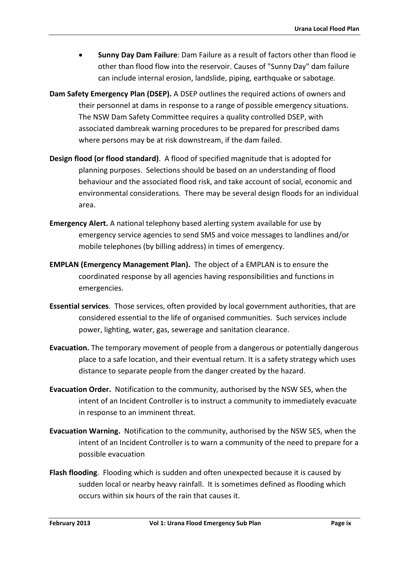- **Sunny Day Dam Failure**: Dam Failure as a result of factors other than flood ie other than flood flow into the reservoir. Causes of "Sunny Day" dam failure can include internal erosion, landslide, piping, earthquake or sabotage.
- **Dam Safety Emergency Plan (DSEP).** A DSEP outlines the required actions of owners and their personnel at dams in response to a range of possible emergency situations. The NSW Dam Safety Committee requires a quality controlled DSEP, with associated dambreak warning procedures to be prepared for prescribed dams where persons may be at risk downstream, if the dam failed.
- **Design flood (or flood standard)**. A flood of specified magnitude that is adopted for planning purposes. Selections should be based on an understanding of flood behaviour and the associated flood risk, and take account of social, economic and environmental considerations. There may be several design floods for an individual area.
- **Emergency Alert.** A national telephony based alerting system available for use by emergency service agencies to send SMS and voice messages to landlines and/or mobile telephones (by billing address) in times of emergency.
- **EMPLAN (Emergency Management Plan).** The object of a EMPLAN is to ensure the coordinated response by all agencies having responsibilities and functions in emergencies.
- **Essential services**. Those services, often provided by local government authorities, that are considered essential to the life of organised communities. Such services include power, lighting, water, gas, sewerage and sanitation clearance.
- **Evacuation.** The temporary movement of people from a dangerous or potentially dangerous place to a safe location, and their eventual return. It is a safety strategy which uses distance to separate people from the danger created by the hazard.
- **Evacuation Order.** Notification to the community, authorised by the NSW SES, when the intent of an Incident Controller is to instruct a community to immediately evacuate in response to an imminent threat.
- **Evacuation Warning.** Notification to the community, authorised by the NSW SES, when the intent of an Incident Controller is to warn a community of the need to prepare for a possible evacuation
- **Flash flooding**. Flooding which is sudden and often unexpected because it is caused by sudden local or nearby heavy rainfall. It is sometimes defined as flooding which occurs within six hours of the rain that causes it.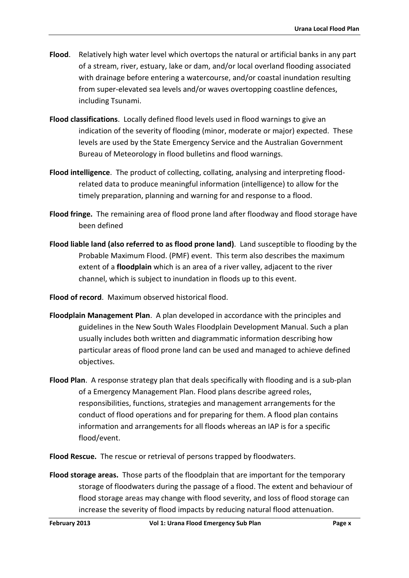- **Flood**. Relatively high water level which overtops the natural or artificial banks in any part of a stream, river, estuary, lake or dam, and/or local overland flooding associated with drainage before entering a watercourse, and/or coastal inundation resulting from super-elevated sea levels and/or waves overtopping coastline defences, including Tsunami.
- **Flood classifications**. Locally defined flood levels used in flood warnings to give an indication of the severity of flooding (minor, moderate or major) expected. These levels are used by the State Emergency Service and the Australian Government Bureau of Meteorology in flood bulletins and flood warnings.
- **Flood intelligence**. The product of collecting, collating, analysing and interpreting floodrelated data to produce meaningful information (intelligence) to allow for the timely preparation, planning and warning for and response to a flood.
- **Flood fringe.** The remaining area of flood prone land after floodway and flood storage have been defined
- **Flood liable land (also referred to as flood prone land)**. Land susceptible to flooding by the Probable Maximum Flood. (PMF) event. This term also describes the maximum extent of a **floodplain** which is an area of a river valley, adjacent to the river channel, which is subject to inundation in floods up to this event.
- **Flood of record**. Maximum observed historical flood.
- **Floodplain Management Plan**. A plan developed in accordance with the principles and guidelines in the New South Wales Floodplain Development Manual. Such a plan usually includes both written and diagrammatic information describing how particular areas of flood prone land can be used and managed to achieve defined objectives.
- **Flood Plan**. A response strategy plan that deals specifically with flooding and is a sub-plan of a Emergency Management Plan. Flood plans describe agreed roles, responsibilities, functions, strategies and management arrangements for the conduct of flood operations and for preparing for them. A flood plan contains information and arrangements for all floods whereas an IAP is for a specific flood/event.
- **Flood Rescue.** The rescue or retrieval of persons trapped by floodwaters.
- **Flood storage areas.** Those parts of the floodplain that are important for the temporary storage of floodwaters during the passage of a flood. The extent and behaviour of flood storage areas may change with flood severity, and loss of flood storage can increase the severity of flood impacts by reducing natural flood attenuation.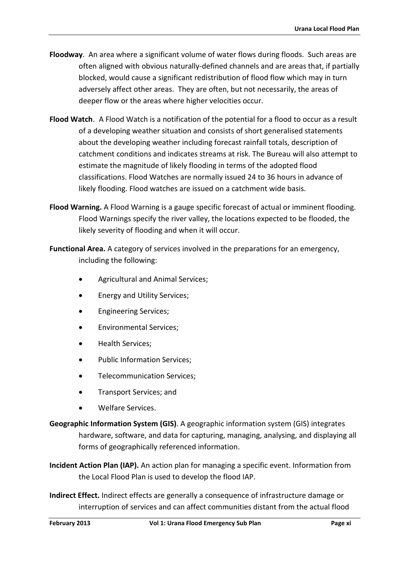- **Floodway**. An area where a significant volume of water flows during floods. Such areas are often aligned with obvious naturally-defined channels and are areas that, if partially blocked, would cause a significant redistribution of flood flow which may in turn adversely affect other areas. They are often, but not necessarily, the areas of deeper flow or the areas where higher velocities occur.
- **Flood Watch**. A Flood Watch is a notification of the potential for a flood to occur as a result of a developing weather situation and consists of short generalised statements about the developing weather including forecast rainfall totals, description of catchment conditions and indicates streams at risk. The Bureau will also attempt to estimate the magnitude of likely flooding in terms of the adopted flood classifications. Flood Watches are normally issued 24 to 36 hours in advance of likely flooding. Flood watches are issued on a catchment wide basis.
- **Flood Warning.** A Flood Warning is a gauge specific forecast of actual or imminent flooding. Flood Warnings specify the river valley, the locations expected to be flooded, the likely severity of flooding and when it will occur.
- **Functional Area.** A category of services involved in the preparations for an emergency, including the following:
	- Agricultural and Animal Services;
	- Energy and Utility Services;
	- Engineering Services;
	- Environmental Services;
	- Health Services;
	- Public Information Services;
	- Telecommunication Services;
	- Transport Services; and
	- Welfare Services.
- **Geographic Information System (GIS)**. A geographic information system (GIS) integrates hardware, software, and data for capturing, managing, analysing, and displaying all forms of geographically referenced information.
- **Incident Action Plan (IAP).** An action plan for managing a specific event. Information from the Local Flood Plan is used to develop the flood IAP.
- **Indirect Effect.** Indirect effects are generally a consequence of infrastructure damage or interruption of services and can affect communities distant from the actual flood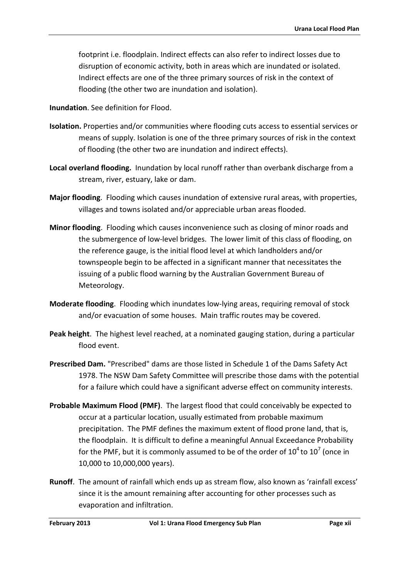footprint i.e. floodplain. Indirect effects can also refer to indirect losses due to disruption of economic activity, both in areas which are inundated or isolated. Indirect effects are one of the three primary sources of risk in the context of flooding (the other two are inundation and isolation).

**Inundation**. See definition for Flood.

- **Isolation.** Properties and/or communities where flooding cuts access to essential services or means of supply. Isolation is one of the three primary sources of risk in the context of flooding (the other two are inundation and indirect effects).
- **Local overland flooding.** Inundation by local runoff rather than overbank discharge from a stream, river, estuary, lake or dam.
- **Major flooding**. Flooding which causes inundation of extensive rural areas, with properties, villages and towns isolated and/or appreciable urban areas flooded.
- **Minor flooding**. Flooding which causes inconvenience such as closing of minor roads and the submergence of low-level bridges. The lower limit of this class of flooding, on the reference gauge, is the initial flood level at which landholders and/or townspeople begin to be affected in a significant manner that necessitates the issuing of a public flood warning by the Australian Government Bureau of Meteorology.
- **Moderate flooding**. Flooding which inundates low-lying areas, requiring removal of stock and/or evacuation of some houses. Main traffic routes may be covered.
- **Peak height**. The highest level reached, at a nominated gauging station, during a particular flood event.
- **Prescribed Dam.** "Prescribed" dams are those listed in Schedule 1 of the Dams Safety Act 1978. The NSW Dam Safety Committee will prescribe those dams with the potential for a failure which could have a significant adverse effect on community interests.
- **Probable Maximum Flood (PMF)**. The largest flood that could conceivably be expected to occur at a particular location, usually estimated from probable maximum precipitation. The PMF defines the maximum extent of flood prone land, that is, the floodplain. It is difficult to define a meaningful Annual Exceedance Probability for the PMF, but it is commonly assumed to be of the order of  $10^4$  to  $10^7$  (once in 10,000 to 10,000,000 years).
- **Runoff**. The amount of rainfall which ends up as stream flow, also known as 'rainfall excess' since it is the amount remaining after accounting for other processes such as evaporation and infiltration.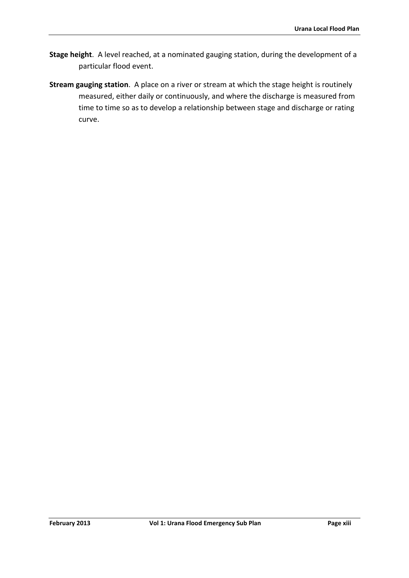- **Stage height**. A level reached, at a nominated gauging station, during the development of a particular flood event.
- **Stream gauging station**. A place on a river or stream at which the stage height is routinely measured, either daily or continuously, and where the discharge is measured from time to time so as to develop a relationship between stage and discharge or rating curve.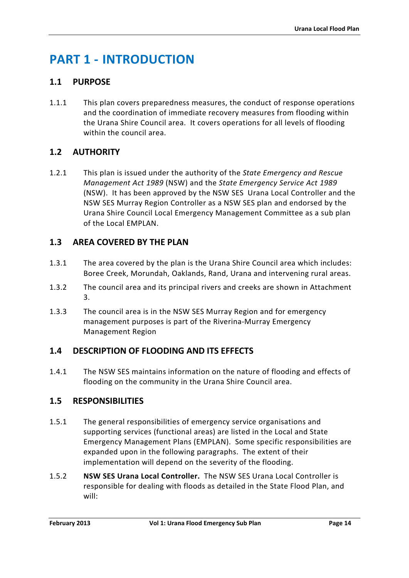# <span id="page-14-0"></span>**PART 1 - INTRODUCTION**

# <span id="page-14-1"></span>**1.1 PURPOSE**

1.1.1 This plan covers preparedness measures, the conduct of response operations and the coordination of immediate recovery measures from flooding within the Urana Shire Council area. It covers operations for all levels of flooding within the council area.

# <span id="page-14-2"></span>**1.2 AUTHORITY**

1.2.1 This plan is issued under the authority of the *State Emergency and Rescue Management Act 1989* (NSW) and the *State Emergency Service Act 1989* (NSW). It has been approved by the NSW SES Urana Local Controller and the NSW SES Murray Region Controller as a NSW SES plan and endorsed by the Urana Shire Council Local Emergency Management Committee as a sub plan of the Local EMPLAN.

# <span id="page-14-3"></span>**1.3 AREA COVERED BY THE PLAN**

- 1.3.1 The area covered by the plan is the Urana Shire Council area which includes: Boree Creek, Morundah, Oaklands, Rand, Urana and intervening rural areas.
- 1.3.2 The council area and its principal rivers and creeks are shown in Attachment 3.
- 1.3.3 The council area is in the NSW SES Murray Region and for emergency management purposes is part of the Riverina-Murray Emergency Management Region

# <span id="page-14-4"></span>**1.4 DESCRIPTION OF FLOODING AND ITS EFFECTS**

1.4.1 The NSW SES maintains information on the nature of flooding and effects of flooding on the community in the Urana Shire Council area.

# <span id="page-14-5"></span>**1.5 RESPONSIBILITIES**

- 1.5.1 The general responsibilities of emergency service organisations and supporting services (functional areas) are listed in the Local and State Emergency Management Plans (EMPLAN). Some specific responsibilities are expanded upon in the following paragraphs. The extent of their implementation will depend on the severity of the flooding.
- 1.5.2 **NSW SES Urana Local Controller.** The NSW SES Urana Local Controller is responsible for dealing with floods as detailed in the State Flood Plan, and will: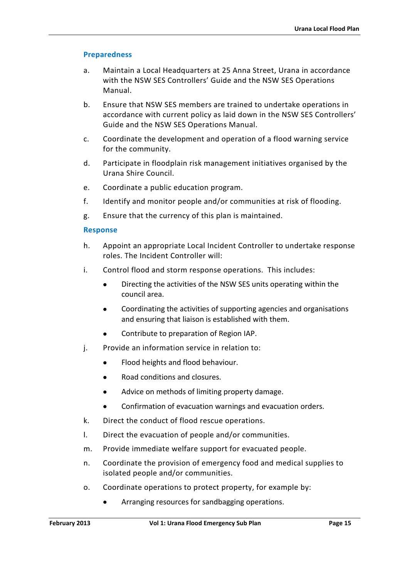#### **Preparedness**

- a. Maintain a Local Headquarters at 25 Anna Street, Urana in accordance with the NSW SES Controllers' Guide and the NSW SES Operations Manual.
- b. Ensure that NSW SES members are trained to undertake operations in accordance with current policy as laid down in the NSW SES Controllers' Guide and the NSW SES Operations Manual.
- c. Coordinate the development and operation of a flood warning service for the community.
- d. Participate in floodplain risk management initiatives organised by the Urana Shire Council.
- e. Coordinate a public education program.
- f. Identify and monitor people and/or communities at risk of flooding.
- g. Ensure that the currency of this plan is maintained.

#### **Response**

- h. Appoint an appropriate Local Incident Controller to undertake response roles. The Incident Controller will:
- i. Control flood and storm response operations. This includes:
	- Directing the activities of the NSW SES units operating within the council area.
	- Coordinating the activities of supporting agencies and organisations and ensuring that liaison is established with them.
	- Contribute to preparation of Region IAP.
- j. Provide an information service in relation to:
	- Flood heights and flood behaviour.
	- Road conditions and closures.
	- Advice on methods of limiting property damage.
	- Confirmation of evacuation warnings and evacuation orders.
- k. Direct the conduct of flood rescue operations.
- l. Direct the evacuation of people and/or communities.
- m. Provide immediate welfare support for evacuated people.
- n. Coordinate the provision of emergency food and medical supplies to isolated people and/or communities.
- o. Coordinate operations to protect property, for example by:
	- Arranging resources for sandbagging operations.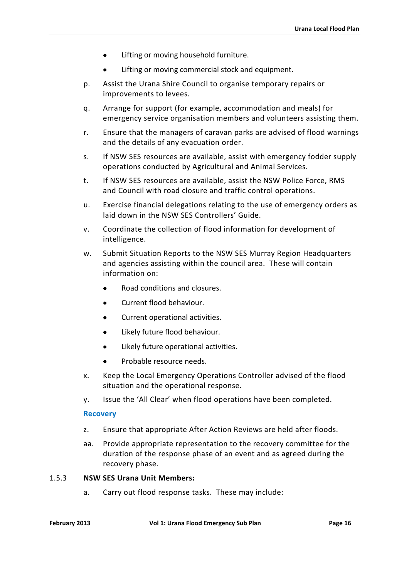- Lifting or moving household furniture.
- Lifting or moving commercial stock and equipment.
- p. Assist the Urana Shire Council to organise temporary repairs or improvements to levees.
- q. Arrange for support (for example, accommodation and meals) for emergency service organisation members and volunteers assisting them.
- r. Ensure that the managers of caravan parks are advised of flood warnings and the details of any evacuation order.
- s. If NSW SES resources are available, assist with emergency fodder supply operations conducted by Agricultural and Animal Services.
- t. If NSW SES resources are available, assist the NSW Police Force, RMS and Council with road closure and traffic control operations.
- u. Exercise financial delegations relating to the use of emergency orders as laid down in the NSW SES Controllers' Guide.
- v. Coordinate the collection of flood information for development of intelligence.
- w. Submit Situation Reports to the NSW SES Murray Region Headquarters and agencies assisting within the council area. These will contain information on:
	- Road conditions and closures.
	- Current flood behaviour.
	- Current operational activities.
	- Likely future flood behaviour.
	- Likely future operational activities.
	- Probable resource needs.
- x. Keep the Local Emergency Operations Controller advised of the flood situation and the operational response.
- y. Issue the 'All Clear' when flood operations have been completed.

#### **Recovery**

- z. Ensure that appropriate After Action Reviews are held after floods.
- aa. Provide appropriate representation to the recovery committee for the duration of the response phase of an event and as agreed during the recovery phase.

#### 1.5.3 **NSW SES Urana Unit Members:**

a. Carry out flood response tasks. These may include: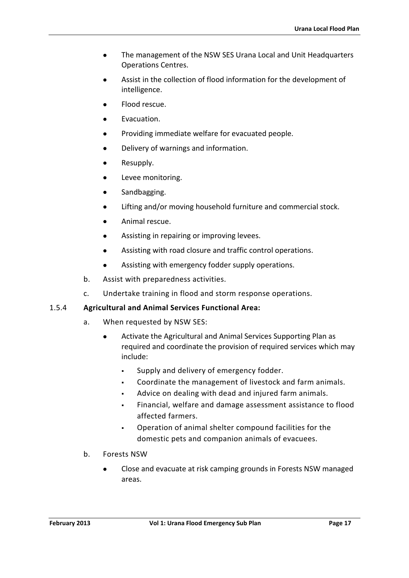- The management of the NSW SES Urana Local and Unit Headquarters Operations Centres.
- Assist in the collection of flood information for the development of intelligence.
- Flood rescue.
- Evacuation.
- Providing immediate welfare for evacuated people.
- Delivery of warnings and information.
- Resupply.
- Levee monitoring.
- Sandbagging.
- Lifting and/or moving household furniture and commercial stock.
- Animal rescue.
- Assisting in repairing or improving levees.
- Assisting with road closure and traffic control operations.
- Assisting with emergency fodder supply operations.
- b. Assist with preparedness activities.
- c. Undertake training in flood and storm response operations.

### 1.5.4 **Agricultural and Animal Services Functional Area:**

- a. When requested by NSW SES:
	- Activate the Agricultural and Animal Services Supporting Plan as required and coordinate the provision of required services which may include:
		- Supply and delivery of emergency fodder.
		- Coordinate the management of livestock and farm animals.
		- Advice on dealing with dead and injured farm animals.
		- Financial, welfare and damage assessment assistance to flood affected farmers.
		- Operation of animal shelter compound facilities for the domestic pets and companion animals of evacuees.
- b. Forests NSW
	- Close and evacuate at risk camping grounds in Forests NSW managed areas.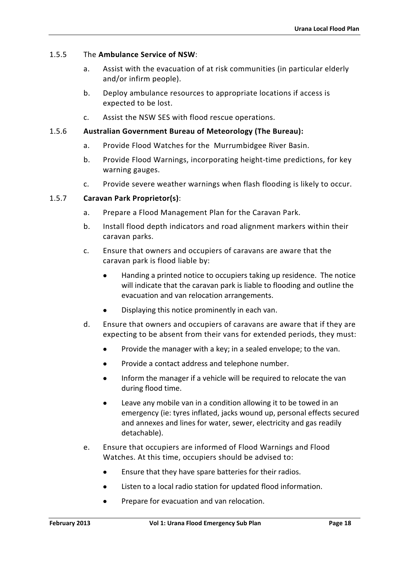#### 1.5.5 The **Ambulance Service of NSW**:

- a. Assist with the evacuation of at risk communities (in particular elderly and/or infirm people).
- b. Deploy ambulance resources to appropriate locations if access is expected to be lost.
- c. Assist the NSW SES with flood rescue operations.

#### 1.5.6 **Australian Government Bureau of Meteorology (The Bureau):**

- a. Provide Flood Watches for the Murrumbidgee River Basin.
- b. Provide Flood Warnings, incorporating height-time predictions, for key warning gauges.
- c. Provide severe weather warnings when flash flooding is likely to occur.

#### 1.5.7 **Caravan Park Proprietor(s)**:

- a. Prepare a Flood Management Plan for the Caravan Park.
- b. Install flood depth indicators and road alignment markers within their caravan parks.
- c. Ensure that owners and occupiers of caravans are aware that the caravan park is flood liable by:
	- Handing a printed notice to occupiers taking up residence. The notice will indicate that the caravan park is liable to flooding and outline the evacuation and van relocation arrangements.
	- Displaying this notice prominently in each van.
- d. Ensure that owners and occupiers of caravans are aware that if they are expecting to be absent from their vans for extended periods, they must:
	- Provide the manager with a key; in a sealed envelope; to the van.
	- Provide a contact address and telephone number.
	- Inform the manager if a vehicle will be required to relocate the van during flood time.
	- Leave any mobile van in a condition allowing it to be towed in an emergency (ie: tyres inflated, jacks wound up, personal effects secured and annexes and lines for water, sewer, electricity and gas readily detachable).
- e. Ensure that occupiers are informed of Flood Warnings and Flood Watches. At this time, occupiers should be advised to:
	- Ensure that they have spare batteries for their radios.
	- Listen to a local radio station for updated flood information.
	- Prepare for evacuation and van relocation.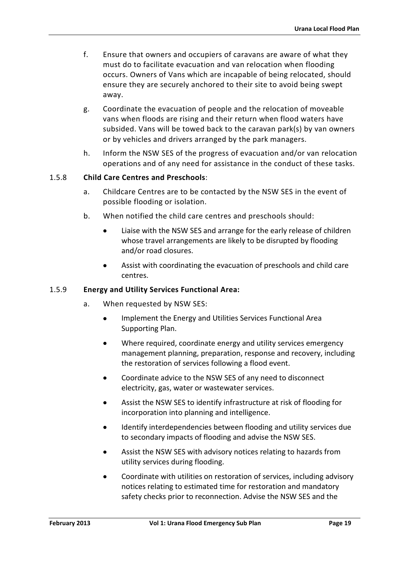- f. Ensure that owners and occupiers of caravans are aware of what they must do to facilitate evacuation and van relocation when flooding occurs. Owners of Vans which are incapable of being relocated, should ensure they are securely anchored to their site to avoid being swept away.
- g. Coordinate the evacuation of people and the relocation of moveable vans when floods are rising and their return when flood waters have subsided. Vans will be towed back to the caravan park(s) by van owners or by vehicles and drivers arranged by the park managers.
- h. Inform the NSW SES of the progress of evacuation and/or van relocation operations and of any need for assistance in the conduct of these tasks.

## 1.5.8 **Child Care Centres and Preschools**:

- a. Childcare Centres are to be contacted by the NSW SES in the event of possible flooding or isolation.
- b. When notified the child care centres and preschools should:
	- Liaise with the NSW SES and arrange for the early release of children whose travel arrangements are likely to be disrupted by flooding and/or road closures.
	- Assist with coordinating the evacuation of preschools and child care centres.

### 1.5.9 **Energy and Utility Services Functional Area:**

- a. When requested by NSW SES:
	- Implement the Energy and Utilities Services Functional Area Supporting Plan.
	- Where required, coordinate energy and utility services emergency management planning, preparation, response and recovery, including the restoration of services following a flood event.
	- Coordinate advice to the NSW SES of any need to disconnect electricity, gas, water or wastewater services.
	- Assist the NSW SES to identify infrastructure at risk of flooding for incorporation into planning and intelligence.
	- Identify interdependencies between flooding and utility services due to secondary impacts of flooding and advise the NSW SES.
	- Assist the NSW SES with advisory notices relating to hazards from utility services during flooding.
	- Coordinate with utilities on restoration of services, including advisory notices relating to estimated time for restoration and mandatory safety checks prior to reconnection. Advise the NSW SES and the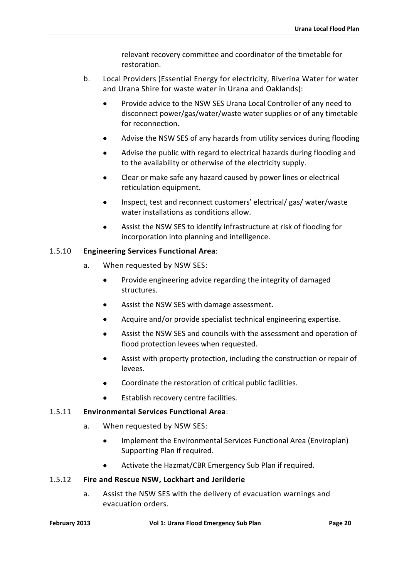relevant recovery committee and coordinator of the timetable for restoration.

- b. Local Providers (Essential Energy for electricity, Riverina Water for water and Urana Shire for waste water in Urana and Oaklands):
	- Provide advice to the NSW SES Urana Local Controller of any need to disconnect power/gas/water/waste water supplies or of any timetable for reconnection.
	- Advise the NSW SES of any hazards from utility services during flooding
	- Advise the public with regard to electrical hazards during flooding and to the availability or otherwise of the electricity supply.
	- Clear or make safe any hazard caused by power lines or electrical reticulation equipment.
	- Inspect, test and reconnect customers' electrical/ gas/ water/waste water installations as conditions allow.
	- Assist the NSW SES to identify infrastructure at risk of flooding for incorporation into planning and intelligence.

## 1.5.10 **Engineering Services Functional Area**:

- a. When requested by NSW SES:
	- Provide engineering advice regarding the integrity of damaged structures.
	- Assist the NSW SES with damage assessment.
	- Acquire and/or provide specialist technical engineering expertise.
	- Assist the NSW SES and councils with the assessment and operation of flood protection levees when requested.
	- Assist with property protection, including the construction or repair of levees.
	- Coordinate the restoration of critical public facilities.
	- Establish recovery centre facilities.

### 1.5.11 **Environmental Services Functional Area**:

- a. When requested by NSW SES:
	- Implement the Environmental Services Functional Area (Enviroplan) Supporting Plan if required.
	- Activate the Hazmat/CBR Emergency Sub Plan if required.

### 1.5.12 **Fire and Rescue NSW, Lockhart and Jerilderie**

a. Assist the NSW SES with the delivery of evacuation warnings and evacuation orders.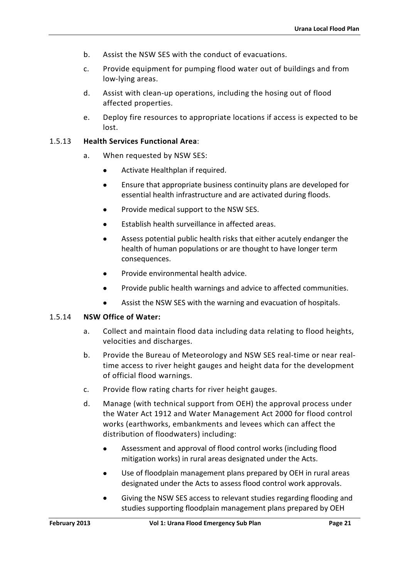- b. Assist the NSW SES with the conduct of evacuations.
- c. Provide equipment for pumping flood water out of buildings and from low-lying areas.
- d. Assist with clean-up operations, including the hosing out of flood affected properties.
- e. Deploy fire resources to appropriate locations if access is expected to be lost.

#### 1.5.13 **Health Services Functional Area**:

- a. When requested by NSW SES:
	- Activate Healthplan if required.
	- Ensure that appropriate business continuity plans are developed for essential health infrastructure and are activated during floods.
	- Provide medical support to the NSW SES.
	- Establish health surveillance in affected areas.
	- Assess potential public health risks that either acutely endanger the health of human populations or are thought to have longer term consequences.
	- Provide environmental health advice.
	- Provide public health warnings and advice to affected communities.
	- Assist the NSW SES with the warning and evacuation of hospitals.

#### 1.5.14 **NSW Office of Water:**

- a. Collect and maintain flood data including data relating to flood heights, velocities and discharges.
- b. Provide the Bureau of Meteorology and NSW SES real-time or near realtime access to river height gauges and height data for the development of official flood warnings.
- c. Provide flow rating charts for river height gauges.
- d. Manage (with technical support from OEH) the approval process under the Water Act 1912 and Water Management Act 2000 for flood control works (earthworks, embankments and levees which can affect the distribution of floodwaters) including:
	- Assessment and approval of flood control works (including flood mitigation works) in rural areas designated under the Acts.
	- Use of floodplain management plans prepared by OEH in rural areas designated under the Acts to assess flood control work approvals.
	- Giving the NSW SES access to relevant studies regarding flooding and studies supporting floodplain management plans prepared by OEH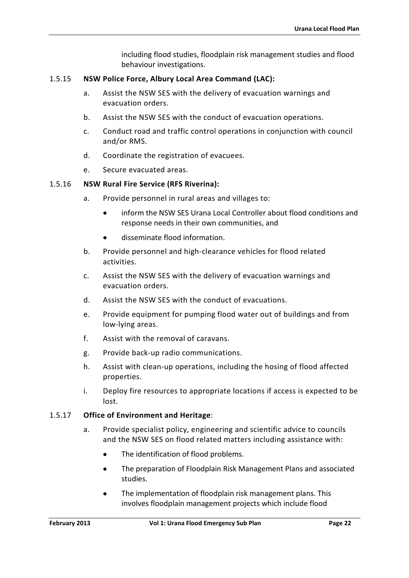including flood studies, floodplain risk management studies and flood behaviour investigations.

#### 1.5.15 **NSW Police Force, Albury Local Area Command (LAC):**

- a. Assist the NSW SES with the delivery of evacuation warnings and evacuation orders.
- b. Assist the NSW SES with the conduct of evacuation operations.
- c. Conduct road and traffic control operations in conjunction with council and/or RMS.
- d. Coordinate the registration of evacuees.
- e. Secure evacuated areas.

#### 1.5.16 **NSW Rural Fire Service (RFS Riverina):**

- a. Provide personnel in rural areas and villages to:
	- inform the NSW SES Urana Local Controller about flood conditions and response needs in their own communities, and
	- disseminate flood information.
- b. Provide personnel and high-clearance vehicles for flood related activities.
- c. Assist the NSW SES with the delivery of evacuation warnings and evacuation orders.
- d. Assist the NSW SES with the conduct of evacuations.
- e. Provide equipment for pumping flood water out of buildings and from low-lying areas.
- f. Assist with the removal of caravans.
- g. Provide back-up radio communications.
- h. Assist with clean-up operations, including the hosing of flood affected properties.
- i. Deploy fire resources to appropriate locations if access is expected to be lost.

#### 1.5.17 **Office of Environment and Heritage**:

- a. Provide specialist policy, engineering and scientific advice to councils and the NSW SES on flood related matters including assistance with:
	- The identification of flood problems.
	- The preparation of Floodplain Risk Management Plans and associated studies.
	- The implementation of floodplain risk management plans. This involves floodplain management projects which include flood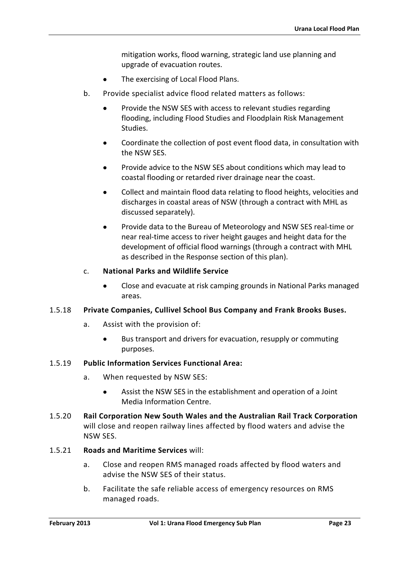mitigation works, flood warning, strategic land use planning and upgrade of evacuation routes.

- The exercising of Local Flood Plans.
- b. Provide specialist advice flood related matters as follows:
	- Provide the NSW SES with access to relevant studies regarding flooding, including Flood Studies and Floodplain Risk Management Studies.
	- Coordinate the collection of post event flood data, in consultation with the NSW SES.
	- Provide advice to the NSW SES about conditions which may lead to coastal flooding or retarded river drainage near the coast.
	- Collect and maintain flood data relating to flood heights, velocities and discharges in coastal areas of NSW (through a contract with MHL as discussed separately).
	- Provide data to the Bureau of Meteorology and NSW SES real-time or near real-time access to river height gauges and height data for the development of official flood warnings (through a contract with MHL as described in the Response section of this plan).

### c. **National Parks and Wildlife Service**

• Close and evacuate at risk camping grounds in National Parks managed areas.

### 1.5.18 **Private Companies, Cullivel School Bus Company and Frank Brooks Buses.**

- a. Assist with the provision of:
	- Bus transport and drivers for evacuation, resupply or commuting purposes.

#### 1.5.19 **Public Information Services Functional Area:**

- a. When requested by NSW SES:
	- Assist the NSW SES in the establishment and operation of a Joint Media Information Centre.
- 1.5.20 **Rail Corporation New South Wales and the Australian Rail Track Corporation**  will close and reopen railway lines affected by flood waters and advise the NSW SES.

#### 1.5.21 **Roads and Maritime Services** will:

- a. Close and reopen RMS managed roads affected by flood waters and advise the NSW SES of their status.
- b. Facilitate the safe reliable access of emergency resources on RMS managed roads.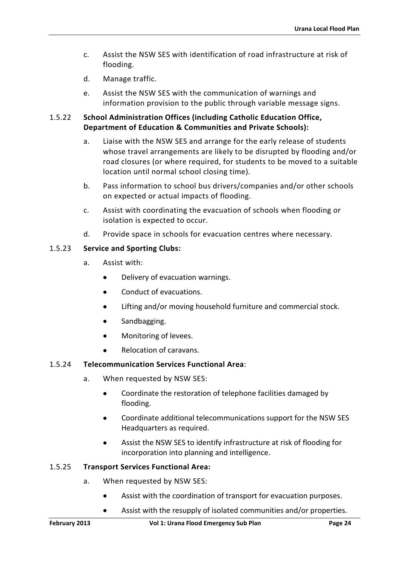- c. Assist the NSW SES with identification of road infrastructure at risk of flooding.
- d. Manage traffic.
- e. Assist the NSW SES with the communication of warnings and information provision to the public through variable message signs.

#### 1.5.22 **School Administration Offices (including Catholic Education Office, Department of Education & Communities and Private Schools):**

- a. Liaise with the NSW SES and arrange for the early release of students whose travel arrangements are likely to be disrupted by flooding and/or road closures (or where required, for students to be moved to a suitable location until normal school closing time).
- b. Pass information to school bus drivers/companies and/or other schools on expected or actual impacts of flooding.
- c. Assist with coordinating the evacuation of schools when flooding or isolation is expected to occur.
- d. Provide space in schools for evacuation centres where necessary.

## 1.5.23 **Service and Sporting Clubs:**

- a. Assist with:
	- Delivery of evacuation warnings.
	- Conduct of evacuations.
	- Lifting and/or moving household furniture and commercial stock.
	- Sandbagging.
	- Monitoring of levees.
	- Relocation of caravans.

### 1.5.24 **Telecommunication Services Functional Area**:

- a. When requested by NSW SES:
	- Coordinate the restoration of telephone facilities damaged by flooding.
	- Coordinate additional telecommunications support for the NSW SES Headquarters as required.
	- Assist the NSW SES to identify infrastructure at risk of flooding for incorporation into planning and intelligence.

### 1.5.25 **Transport Services Functional Area:**

- a. When requested by NSW SES:
	- Assist with the coordination of transport for evacuation purposes.
	- Assist with the resupply of isolated communities and/or properties.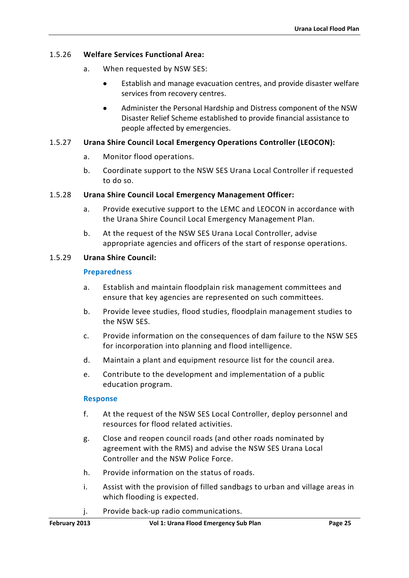#### 1.5.26 **Welfare Services Functional Area:**

- a. When requested by NSW SES:
	- Establish and manage evacuation centres, and provide disaster welfare services from recovery centres.
	- Administer the Personal Hardship and Distress component of the NSW Disaster Relief Scheme established to provide financial assistance to people affected by emergencies.

#### 1.5.27 **Urana Shire Council Local Emergency Operations Controller (LEOCON):**

- a. Monitor flood operations.
- b. Coordinate support to the NSW SES Urana Local Controller if requested to do so.

#### 1.5.28 **Urana Shire Council Local Emergency Management Officer:**

- a. Provide executive support to the LEMC and LEOCON in accordance with the Urana Shire Council Local Emergency Management Plan.
- b. At the request of the NSW SES Urana Local Controller, advise appropriate agencies and officers of the start of response operations.

#### 1.5.29 **Urana Shire Council:**

#### **Preparedness**

- a. Establish and maintain floodplain risk management committees and ensure that key agencies are represented on such committees.
- b. Provide levee studies, flood studies, floodplain management studies to the NSW SES.
- c. Provide information on the consequences of dam failure to the NSW SES for incorporation into planning and flood intelligence.
- d. Maintain a plant and equipment resource list for the council area.
- e. Contribute to the development and implementation of a public education program.

#### **Response**

- f. At the request of the NSW SES Local Controller, deploy personnel and resources for flood related activities.
- g. Close and reopen council roads (and other roads nominated by agreement with the RMS) and advise the NSW SES Urana Local Controller and the NSW Police Force.
- h. Provide information on the status of roads.
- i. Assist with the provision of filled sandbags to urban and village areas in which flooding is expected.
- j. Provide back-up radio communications.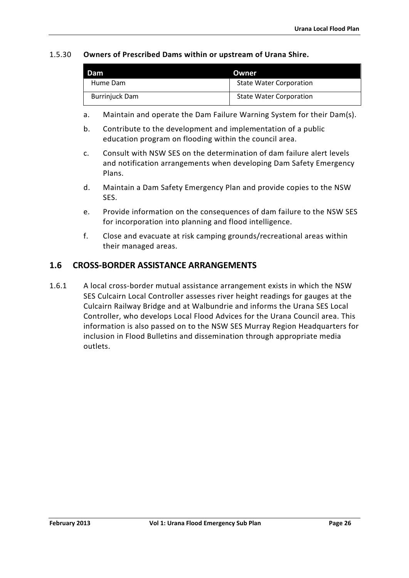#### 1.5.30 **Owners of Prescribed Dams within or upstream of Urana Shire.**

| l Dam                 | <b>Owner</b>                   |  |
|-----------------------|--------------------------------|--|
| Hume Dam              | <b>State Water Corporation</b> |  |
| <b>Burrinjuck Dam</b> | <b>State Water Corporation</b> |  |

- a. Maintain and operate the Dam Failure Warning System for their Dam(s).
- b. Contribute to the development and implementation of a public education program on flooding within the council area.
- c. Consult with NSW SES on the determination of dam failure alert levels and notification arrangements when developing Dam Safety Emergency Plans.
- d. Maintain a Dam Safety Emergency Plan and provide copies to the NSW SES.
- e. Provide information on the consequences of dam failure to the NSW SES for incorporation into planning and flood intelligence.
- f. Close and evacuate at risk camping grounds/recreational areas within their managed areas.

## <span id="page-26-0"></span>**1.6 CROSS-BORDER ASSISTANCE ARRANGEMENTS**

1.6.1 A local cross-border mutual assistance arrangement exists in which the NSW SES Culcairn Local Controller assesses river height readings for gauges at the Culcairn Railway Bridge and at Walbundrie and informs the Urana SES Local Controller, who develops Local Flood Advices for the Urana Council area. This information is also passed on to the NSW SES Murray Region Headquarters for inclusion in Flood Bulletins and dissemination through appropriate media outlets.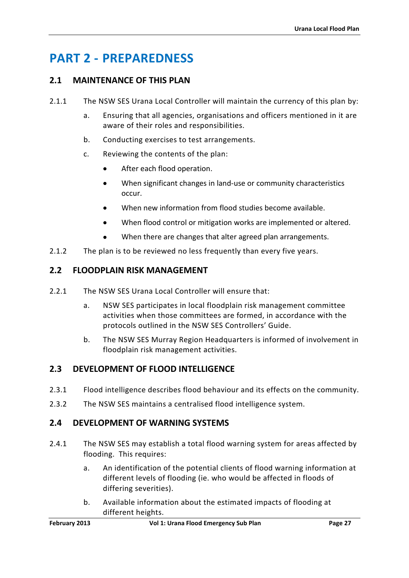# <span id="page-27-0"></span>**PART 2 - PREPAREDNESS**

# <span id="page-27-1"></span>**2.1 MAINTENANCE OF THIS PLAN**

- 2.1.1 The NSW SES Urana Local Controller will maintain the currency of this plan by:
	- a. Ensuring that all agencies, organisations and officers mentioned in it are aware of their roles and responsibilities.
	- b. Conducting exercises to test arrangements.
	- c. Reviewing the contents of the plan:
		- After each flood operation.
		- When significant changes in land-use or community characteristics occur.
		- When new information from flood studies become available.
		- When flood control or mitigation works are implemented or altered.
		- When there are changes that alter agreed plan arrangements.
- 2.1.2 The plan is to be reviewed no less frequently than every five years.

# <span id="page-27-2"></span>**2.2 FLOODPLAIN RISK MANAGEMENT**

- 2.2.1 The NSW SES Urana Local Controller will ensure that:
	- a. NSW SES participates in local floodplain risk management committee activities when those committees are formed, in accordance with the protocols outlined in the NSW SES Controllers' Guide.
	- b. The NSW SES Murray Region Headquarters is informed of involvement in floodplain risk management activities.

# <span id="page-27-3"></span>**2.3 DEVELOPMENT OF FLOOD INTELLIGENCE**

- 2.3.1 Flood intelligence describes flood behaviour and its effects on the community.
- 2.3.2 The NSW SES maintains a centralised flood intelligence system.

# <span id="page-27-4"></span>**2.4 DEVELOPMENT OF WARNING SYSTEMS**

- 2.4.1 The NSW SES may establish a total flood warning system for areas affected by flooding. This requires:
	- a. An identification of the potential clients of flood warning information at different levels of flooding (ie. who would be affected in floods of differing severities).
	- b. Available information about the estimated impacts of flooding at different heights.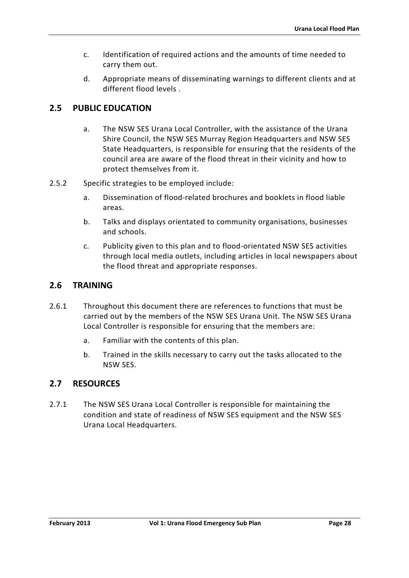- c. Identification of required actions and the amounts of time needed to carry them out.
- d. Appropriate means of disseminating warnings to different clients and at different flood levels .

# <span id="page-28-0"></span>**2.5 PUBLIC EDUCATION**

- a. The NSW SES Urana Local Controller, with the assistance of the Urana Shire Council, the NSW SES Murray Region Headquarters and NSW SES State Headquarters, is responsible for ensuring that the residents of the council area are aware of the flood threat in their vicinity and how to protect themselves from it.
- 2.5.2 Specific strategies to be employed include:
	- a. Dissemination of flood-related brochures and booklets in flood liable areas.
	- b. Talks and displays orientated to community organisations, businesses and schools.
	- c. Publicity given to this plan and to flood-orientated NSW SES activities through local media outlets, including articles in local newspapers about the flood threat and appropriate responses.

# <span id="page-28-1"></span>**2.6 TRAINING**

- 2.6.1 Throughout this document there are references to functions that must be carried out by the members of the NSW SES Urana Unit. The NSW SES Urana Local Controller is responsible for ensuring that the members are:
	- a. Familiar with the contents of this plan.
	- b. Trained in the skills necessary to carry out the tasks allocated to the NSW SES.

# <span id="page-28-2"></span>**2.7 RESOURCES**

2.7.1 The NSW SES Urana Local Controller is responsible for maintaining the condition and state of readiness of NSW SES equipment and the NSW SES Urana Local Headquarters.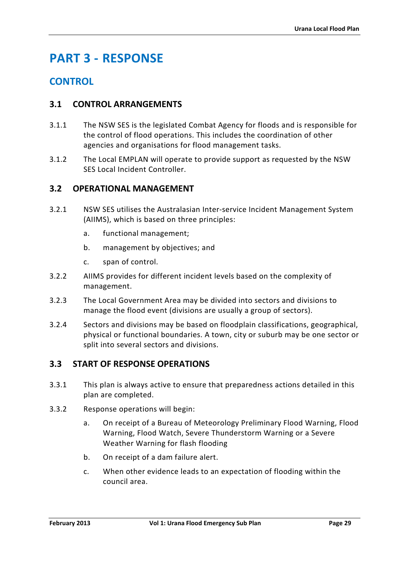# <span id="page-29-0"></span>**PART 3 - RESPONSE**

# **CONTROL**

# <span id="page-29-1"></span>**3.1 CONTROL ARRANGEMENTS**

- 3.1.1 The NSW SES is the legislated Combat Agency for floods and is responsible for the control of flood operations. This includes the coordination of other agencies and organisations for flood management tasks.
- 3.1.2 The Local EMPLAN will operate to provide support as requested by the NSW SES Local Incident Controller.

# <span id="page-29-2"></span>**3.2 OPERATIONAL MANAGEMENT**

- 3.2.1 NSW SES utilises the Australasian Inter-service Incident Management System (AIIMS), which is based on three principles:
	- a. functional management;
	- b. management by objectives; and
	- c. span of control.
- 3.2.2 AIIMS provides for different incident levels based on the complexity of management.
- 3.2.3 The Local Government Area may be divided into sectors and divisions to manage the flood event (divisions are usually a group of sectors).
- 3.2.4 Sectors and divisions may be based on floodplain classifications, geographical, physical or functional boundaries. A town, city or suburb may be one sector or split into several sectors and divisions.

# <span id="page-29-3"></span>**3.3 START OF RESPONSE OPERATIONS**

- 3.3.1 This plan is always active to ensure that preparedness actions detailed in this plan are completed.
- 3.3.2 Response operations will begin:
	- a. On receipt of a Bureau of Meteorology Preliminary Flood Warning, Flood Warning, Flood Watch, Severe Thunderstorm Warning or a Severe Weather Warning for flash flooding
	- b. On receipt of a dam failure alert.
	- c. When other evidence leads to an expectation of flooding within the council area.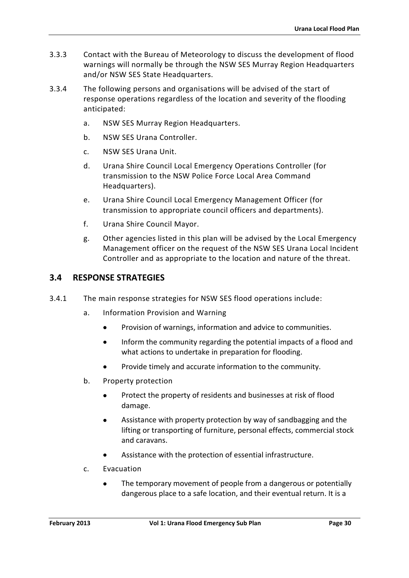- 3.3.3 Contact with the Bureau of Meteorology to discuss the development of flood warnings will normally be through the NSW SES Murray Region Headquarters and/or NSW SES State Headquarters.
- 3.3.4 The following persons and organisations will be advised of the start of response operations regardless of the location and severity of the flooding anticipated:
	- a. NSW SES Murray Region Headquarters.
	- b. NSW SES Urana Controller.
	- c. NSW SES Urana Unit.
	- d. Urana Shire Council Local Emergency Operations Controller (for transmission to the NSW Police Force Local Area Command Headquarters).
	- e. Urana Shire Council Local Emergency Management Officer (for transmission to appropriate council officers and departments).
	- f. Urana Shire Council Mayor.
	- g. Other agencies listed in this plan will be advised by the Local Emergency Management officer on the request of the NSW SES Urana Local Incident Controller and as appropriate to the location and nature of the threat.

# <span id="page-30-0"></span>**3.4 RESPONSE STRATEGIES**

- 3.4.1 The main response strategies for NSW SES flood operations include:
	- a. Information Provision and Warning
		- Provision of warnings, information and advice to communities.
		- Inform the community regarding the potential impacts of a flood and what actions to undertake in preparation for flooding.
		- Provide timely and accurate information to the community.
	- b. Property protection
		- Protect the property of residents and businesses at risk of flood damage.
		- Assistance with property protection by way of sandbagging and the lifting or transporting of furniture, personal effects, commercial stock and caravans.
		- Assistance with the protection of essential infrastructure.
	- c. Evacuation
		- The temporary movement of people from a dangerous or potentially dangerous place to a safe location, and their eventual return. It is a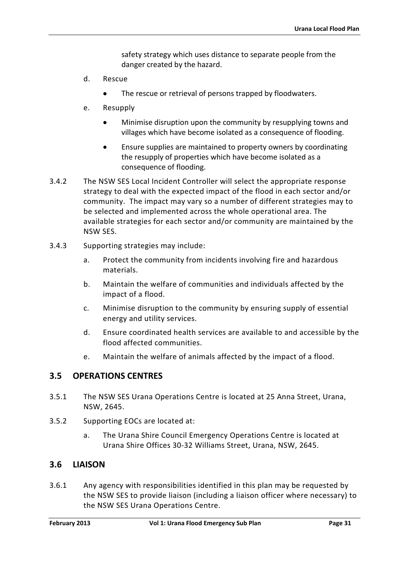safety strategy which uses distance to separate people from the danger created by the hazard.

- d. Rescue
	- The rescue or retrieval of persons trapped by floodwaters.
- e. Resupply
	- Minimise disruption upon the community by resupplying towns and villages which have become isolated as a consequence of flooding.
	- Ensure supplies are maintained to property owners by coordinating the resupply of properties which have become isolated as a consequence of flooding.
- 3.4.2 The NSW SES Local Incident Controller will select the appropriate response strategy to deal with the expected impact of the flood in each sector and/or community. The impact may vary so a number of different strategies may to be selected and implemented across the whole operational area. The available strategies for each sector and/or community are maintained by the NSW SES.
- 3.4.3 Supporting strategies may include:
	- a. Protect the community from incidents involving fire and hazardous materials.
	- b. Maintain the welfare of communities and individuals affected by the impact of a flood.
	- c. Minimise disruption to the community by ensuring supply of essential energy and utility services.
	- d. Ensure coordinated health services are available to and accessible by the flood affected communities.
	- e. Maintain the welfare of animals affected by the impact of a flood.

### <span id="page-31-0"></span>**3.5 OPERATIONS CENTRES**

- 3.5.1 The NSW SES Urana Operations Centre is located at 25 Anna Street, Urana, NSW, 2645.
- 3.5.2 Supporting EOCs are located at:
	- a. The Urana Shire Council Emergency Operations Centre is located at Urana Shire Offices 30-32 Williams Street, Urana, NSW, 2645.

### <span id="page-31-1"></span>**3.6 LIAISON**

3.6.1 Any agency with responsibilities identified in this plan may be requested by the NSW SES to provide liaison (including a liaison officer where necessary) to the NSW SES Urana Operations Centre.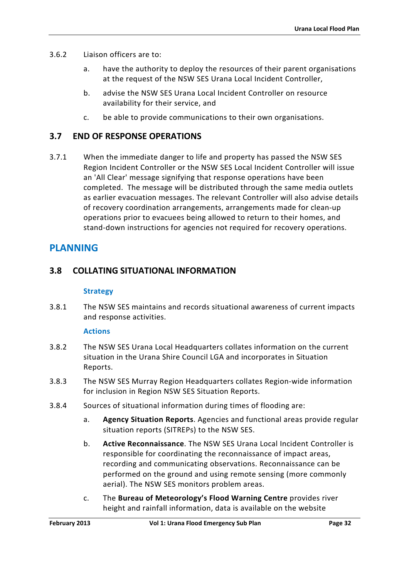- 3.6.2 Liaison officers are to:
	- a. have the authority to deploy the resources of their parent organisations at the request of the NSW SES Urana Local Incident Controller,
	- b. advise the NSW SES Urana Local Incident Controller on resource availability for their service, and
	- c. be able to provide communications to their own organisations.

# <span id="page-32-0"></span>**3.7 END OF RESPONSE OPERATIONS**

3.7.1 When the immediate danger to life and property has passed the NSW SES Region Incident Controller or the NSW SES Local Incident Controller will issue an 'All Clear' message signifying that response operations have been completed. The message will be distributed through the same media outlets as earlier evacuation messages. The relevant Controller will also advise details of recovery coordination arrangements, arrangements made for clean-up operations prior to evacuees being allowed to return to their homes, and stand-down instructions for agencies not required for recovery operations.

# **PLANNING**

# <span id="page-32-1"></span>**3.8 COLLATING SITUATIONAL INFORMATION**

#### **Strategy**

3.8.1 The NSW SES maintains and records situational awareness of current impacts and response activities.

### **Actions**

- 3.8.2 The NSW SES Urana Local Headquarters collates information on the current situation in the Urana Shire Council LGA and incorporates in Situation Reports.
- 3.8.3 The NSW SES Murray Region Headquarters collates Region-wide information for inclusion in Region NSW SES Situation Reports.
- 3.8.4 Sources of situational information during times of flooding are:
	- a. **Agency Situation Reports**. Agencies and functional areas provide regular situation reports (SITREPs) to the NSW SES.
	- b. **Active Reconnaissance**. The NSW SES Urana Local Incident Controller is responsible for coordinating the reconnaissance of impact areas, recording and communicating observations. Reconnaissance can be performed on the ground and using remote sensing (more commonly aerial). The NSW SES monitors problem areas.
	- c. The **Bureau of Meteorology's Flood Warning Centre** provides river height and rainfall information, data is available on the website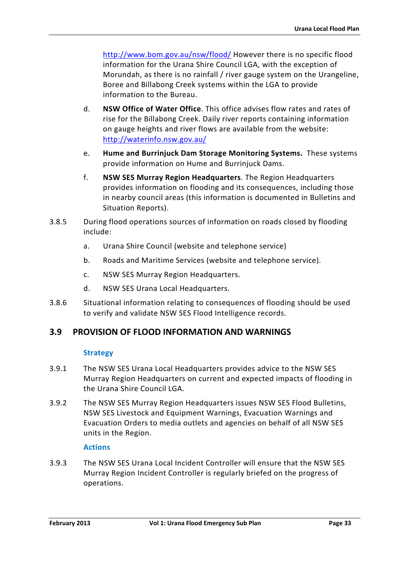<http://www.bom.gov.au/nsw/flood/> However there is no specific flood information for the Urana Shire Council LGA, with the exception of Morundah, as there is no rainfall / river gauge system on the Urangeline, Boree and Billabong Creek systems within the LGA to provide information to the Bureau.

- d. **NSW Office of Water Office**. This office advises flow rates and rates of rise for the Billabong Creek. Daily river reports containing information on gauge heights and river flows are available from the website: <http://waterinfo.nsw.gov.au/>
- e. **Hume and Burrinjuck Dam Storage Monitoring Systems.** These systems provide information on Hume and Burrinjuck Dams.
- f. **NSW SES Murray Region Headquarters**. The Region Headquarters provides information on flooding and its consequences, including those in nearby council areas (this information is documented in Bulletins and Situation Reports).
- 3.8.5 During flood operations sources of information on roads closed by flooding include:
	- a. Urana Shire Council (website and telephone service)
	- b. Roads and Maritime Services (website and telephone service).
	- c. NSW SES Murray Region Headquarters.
	- d. NSW SES Urana Local Headquarters.
- 3.8.6 Situational information relating to consequences of flooding should be used to verify and validate NSW SES Flood Intelligence records.

# <span id="page-33-0"></span>**3.9 PROVISION OF FLOOD INFORMATION AND WARNINGS**

### **Strategy**

- 3.9.1 The NSW SES Urana Local Headquarters provides advice to the NSW SES Murray Region Headquarters on current and expected impacts of flooding in the Urana Shire Council LGA.
- 3.9.2 The NSW SES Murray Region Headquarters issues NSW SES Flood Bulletins, NSW SES Livestock and Equipment Warnings, Evacuation Warnings and Evacuation Orders to media outlets and agencies on behalf of all NSW SES units in the Region.

### **Actions**

3.9.3 The NSW SES Urana Local Incident Controller will ensure that the NSW SES Murray Region Incident Controller is regularly briefed on the progress of operations.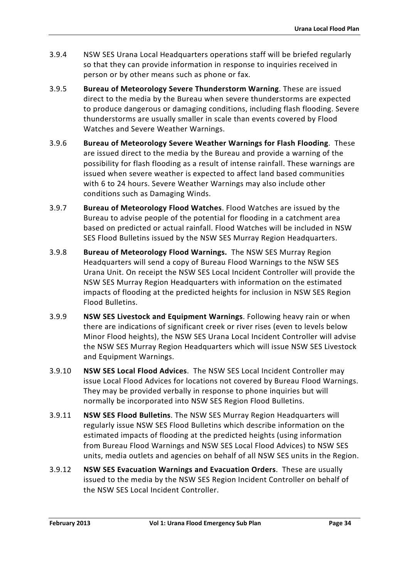- 3.9.4 NSW SES Urana Local Headquarters operations staff will be briefed regularly so that they can provide information in response to inquiries received in person or by other means such as phone or fax.
- 3.9.5 **Bureau of Meteorology Severe Thunderstorm Warning**. These are issued direct to the media by the Bureau when severe thunderstorms are expected to produce dangerous or damaging conditions, including flash flooding. Severe thunderstorms are usually smaller in scale than events covered by Flood Watches and Severe Weather Warnings.
- 3.9.6 **Bureau of Meteorology Severe Weather Warnings for Flash Flooding**. These are issued direct to the media by the Bureau and provide a warning of the possibility for flash flooding as a result of intense rainfall. These warnings are issued when severe weather is expected to affect land based communities with 6 to 24 hours. Severe Weather Warnings may also include other conditions such as Damaging Winds.
- 3.9.7 **Bureau of Meteorology Flood Watches**. Flood Watches are issued by the Bureau to advise people of the potential for flooding in a catchment area based on predicted or actual rainfall. Flood Watches will be included in NSW SES Flood Bulletins issued by the NSW SES Murray Region Headquarters.
- 3.9.8 **Bureau of Meteorology Flood Warnings.** The NSW SES Murray Region Headquarters will send a copy of Bureau Flood Warnings to the NSW SES Urana Unit. On receipt the NSW SES Local Incident Controller will provide the NSW SES Murray Region Headquarters with information on the estimated impacts of flooding at the predicted heights for inclusion in NSW SES Region Flood Bulletins.
- 3.9.9 **NSW SES Livestock and Equipment Warnings**. Following heavy rain or when there are indications of significant creek or river rises (even to levels below Minor Flood heights), the NSW SES Urana Local Incident Controller will advise the NSW SES Murray Region Headquarters which will issue NSW SES Livestock and Equipment Warnings.
- 3.9.10 **NSW SES Local Flood Advices**. The NSW SES Local Incident Controller may issue Local Flood Advices for locations not covered by Bureau Flood Warnings. They may be provided verbally in response to phone inquiries but will normally be incorporated into NSW SES Region Flood Bulletins.
- 3.9.11 **NSW SES Flood Bulletins**. The NSW SES Murray Region Headquarters will regularly issue NSW SES Flood Bulletins which describe information on the estimated impacts of flooding at the predicted heights (using information from Bureau Flood Warnings and NSW SES Local Flood Advices) to NSW SES units, media outlets and agencies on behalf of all NSW SES units in the Region.
- 3.9.12 **NSW SES Evacuation Warnings and Evacuation Orders**. These are usually issued to the media by the NSW SES Region Incident Controller on behalf of the NSW SES Local Incident Controller.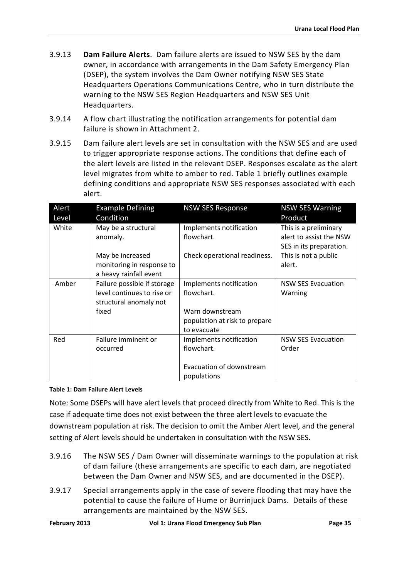- 3.9.13 **Dam Failure Alerts**. Dam failure alerts are issued to NSW SES by the dam owner, in accordance with arrangements in the Dam Safety Emergency Plan (DSEP), the system involves the Dam Owner notifying NSW SES State Headquarters Operations Communications Centre, who in turn distribute the warning to the NSW SES Region Headquarters and NSW SES Unit Headquarters.
- 3.9.14 A flow chart illustrating the notification arrangements for potential dam failure is shown in Attachment 2.
- 3.9.15 Dam failure alert levels are set in consultation with the NSW SES and are used to trigger appropriate response actions. The conditions that define each of the alert levels are listed in the relevant DSEP. Responses escalate as the alert level migrates from white to amber to red. Table 1 briefly outlines example defining conditions and appropriate NSW SES responses associated with each alert.

| Alert | <b>Example Defining</b>     | <b>NSW SES Response</b>       | <b>NSW SES Warning</b>    |
|-------|-----------------------------|-------------------------------|---------------------------|
| Level | Condition                   |                               | Product                   |
| White | May be a structural         | Implements notification       | This is a preliminary     |
|       | anomaly.                    | flowchart.                    | alert to assist the NSW   |
|       |                             |                               | SES in its preparation.   |
|       | May be increased            | Check operational readiness.  | This is not a public      |
|       | monitoring in response to   |                               | alert.                    |
|       | a heavy rainfall event      |                               |                           |
| Amber | Failure possible if storage | Implements notification       | <b>NSW SES Evacuation</b> |
|       | level continues to rise or  | flowchart.                    | Warning                   |
|       | structural anomaly not      |                               |                           |
|       | fixed                       | Warn downstream               |                           |
|       |                             | population at risk to prepare |                           |
|       |                             | to evacuate                   |                           |
| Red   | Failure imminent or         | Implements notification       | <b>NSW SES Evacuation</b> |
|       | occurred                    | flowchart.                    | Order                     |
|       |                             |                               |                           |
|       |                             | Evacuation of downstream      |                           |
|       |                             | populations                   |                           |

<span id="page-35-0"></span>**Table 1: Dam Failure Alert Levels**

Note: Some DSEPs will have alert levels that proceed directly from White to Red. This is the case if adequate time does not exist between the three alert levels to evacuate the downstream population at risk. The decision to omit the Amber Alert level, and the general setting of Alert levels should be undertaken in consultation with the NSW SES.

- 3.9.16 The NSW SES / Dam Owner will disseminate warnings to the population at risk of dam failure (these arrangements are specific to each dam, are negotiated between the Dam Owner and NSW SES, and are documented in the DSEP).
- 3.9.17 Special arrangements apply in the case of severe flooding that may have the potential to cause the failure of Hume or Burrinjuck Dams. Details of these arrangements are maintained by the NSW SES.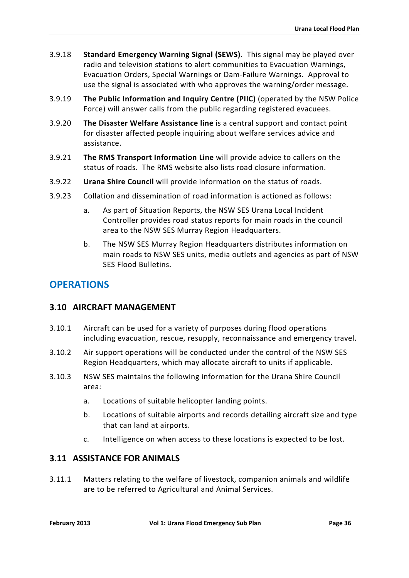- 3.9.18 **Standard Emergency Warning Signal (SEWS).** This signal may be played over radio and television stations to alert communities to Evacuation Warnings, Evacuation Orders, Special Warnings or Dam-Failure Warnings. Approval to use the signal is associated with who approves the warning/order message.
- 3.9.19 **The Public Information and Inquiry Centre (PIIC)** (operated by the NSW Police Force) will answer calls from the public regarding registered evacuees.
- 3.9.20 **The Disaster Welfare Assistance line** is a central support and contact point for disaster affected people inquiring about welfare services advice and assistance.
- 3.9.21 **The RMS Transport Information Line** will provide advice to callers on the status of roads. The RMS website also lists road closure information.
- 3.9.22 **Urana Shire Council** will provide information on the status of roads.
- 3.9.23 Collation and dissemination of road information is actioned as follows:
	- a. As part of Situation Reports, the NSW SES Urana Local Incident Controller provides road status reports for main roads in the council area to the NSW SES Murray Region Headquarters.
	- b. The NSW SES Murray Region Headquarters distributes information on main roads to NSW SES units, media outlets and agencies as part of NSW SES Flood Bulletins.

# **OPERATIONS**

# <span id="page-36-0"></span>**3.10 AIRCRAFT MANAGEMENT**

- 3.10.1 Aircraft can be used for a variety of purposes during flood operations including evacuation, rescue, resupply, reconnaissance and emergency travel.
- 3.10.2 Air support operations will be conducted under the control of the NSW SES Region Headquarters, which may allocate aircraft to units if applicable.
- 3.10.3 NSW SES maintains the following information for the Urana Shire Council area:
	- a. Locations of suitable helicopter landing points.
	- b. Locations of suitable airports and records detailing aircraft size and type that can land at airports.
	- c. Intelligence on when access to these locations is expected to be lost.

# <span id="page-36-1"></span>**3.11 ASSISTANCE FOR ANIMALS**

3.11.1 Matters relating to the welfare of livestock, companion animals and wildlife are to be referred to Agricultural and Animal Services.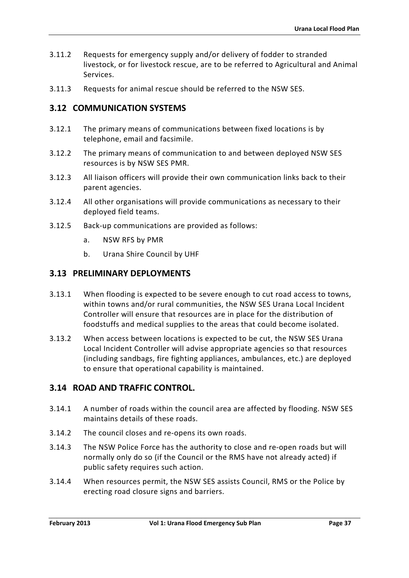- 3.11.2 Requests for emergency supply and/or delivery of fodder to stranded livestock, or for livestock rescue, are to be referred to Agricultural and Animal Services.
- 3.11.3 Requests for animal rescue should be referred to the NSW SES.

# <span id="page-37-0"></span>**3.12 COMMUNICATION SYSTEMS**

- 3.12.1 The primary means of communications between fixed locations is by telephone, email and facsimile.
- 3.12.2 The primary means of communication to and between deployed NSW SES resources is by NSW SES PMR.
- 3.12.3 All liaison officers will provide their own communication links back to their parent agencies.
- 3.12.4 All other organisations will provide communications as necessary to their deployed field teams.
- 3.12.5 Back-up communications are provided as follows:
	- a. NSW RFS by PMR
	- b. Urana Shire Council by UHF

## <span id="page-37-1"></span>**3.13 PRELIMINARY DEPLOYMENTS**

- 3.13.1 When flooding is expected to be severe enough to cut road access to towns, within towns and/or rural communities, the NSW SES Urana Local Incident Controller will ensure that resources are in place for the distribution of foodstuffs and medical supplies to the areas that could become isolated.
- 3.13.2 When access between locations is expected to be cut, the NSW SES Urana Local Incident Controller will advise appropriate agencies so that resources (including sandbags, fire fighting appliances, ambulances, etc.) are deployed to ensure that operational capability is maintained.

# <span id="page-37-2"></span>**3.14 ROAD AND TRAFFIC CONTROL.**

- 3.14.1 A number of roads within the council area are affected by flooding. NSW SES maintains details of these roads.
- 3.14.2 The council closes and re-opens its own roads.
- 3.14.3 The NSW Police Force has the authority to close and re-open roads but will normally only do so (if the Council or the RMS have not already acted) if public safety requires such action.
- 3.14.4 When resources permit, the NSW SES assists Council, RMS or the Police by erecting road closure signs and barriers.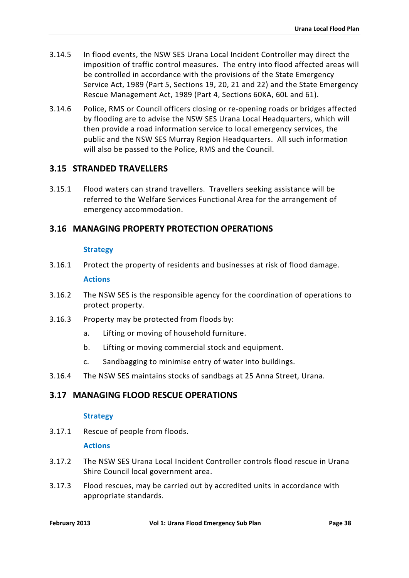- 3.14.5 In flood events, the NSW SES Urana Local Incident Controller may direct the imposition of traffic control measures. The entry into flood affected areas will be controlled in accordance with the provisions of the State Emergency Service Act, 1989 (Part 5, Sections 19, 20, 21 and 22) and the State Emergency Rescue Management Act, 1989 (Part 4, Sections 60KA, 60L and 61).
- 3.14.6 Police, RMS or Council officers closing or re-opening roads or bridges affected by flooding are to advise the NSW SES Urana Local Headquarters, which will then provide a road information service to local emergency services, the public and the NSW SES Murray Region Headquarters. All such information will also be passed to the Police, RMS and the Council.

# <span id="page-38-0"></span>**3.15 STRANDED TRAVELLERS**

3.15.1 Flood waters can strand travellers. Travellers seeking assistance will be referred to the Welfare Services Functional Area for the arrangement of emergency accommodation.

# <span id="page-38-1"></span>**3.16 MANAGING PROPERTY PROTECTION OPERATIONS**

#### **Strategy**

- 3.16.1 Protect the property of residents and businesses at risk of flood damage. **Actions**
- 3.16.2 The NSW SES is the responsible agency for the coordination of operations to protect property.
- 3.16.3 Property may be protected from floods by:
	- a. Lifting or moving of household furniture.
	- b. Lifting or moving commercial stock and equipment.
	- c. Sandbagging to minimise entry of water into buildings.
- 3.16.4 The NSW SES maintains stocks of sandbags at 25 Anna Street, Urana.

# <span id="page-38-2"></span>**3.17 MANAGING FLOOD RESCUE OPERATIONS**

### **Strategy**

3.17.1 Rescue of people from floods.

### **Actions**

- 3.17.2 The NSW SES Urana Local Incident Controller controls flood rescue in Urana Shire Council local government area.
- 3.17.3 Flood rescues, may be carried out by accredited units in accordance with appropriate standards.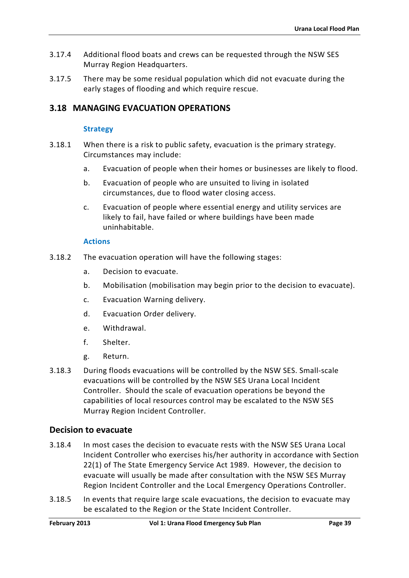- 3.17.4 Additional flood boats and crews can be requested through the NSW SES Murray Region Headquarters.
- 3.17.5 There may be some residual population which did not evacuate during the early stages of flooding and which require rescue.

# <span id="page-39-0"></span>**3.18 MANAGING EVACUATION OPERATIONS**

### **Strategy**

- 3.18.1 When there is a risk to public safety, evacuation is the primary strategy. Circumstances may include:
	- a. Evacuation of people when their homes or businesses are likely to flood.
	- b. Evacuation of people who are unsuited to living in isolated circumstances, due to flood water closing access.
	- c. Evacuation of people where essential energy and utility services are likely to fail, have failed or where buildings have been made uninhabitable.

#### **Actions**

- 3.18.2 The evacuation operation will have the following stages:
	- a. Decision to evacuate.
	- b. Mobilisation (mobilisation may begin prior to the decision to evacuate).
	- c. Evacuation Warning delivery.
	- d. Evacuation Order delivery.
	- e. Withdrawal.
	- f. Shelter.
	- g. Return.
- 3.18.3 During floods evacuations will be controlled by the NSW SES. Small-scale evacuations will be controlled by the NSW SES Urana Local Incident Controller. Should the scale of evacuation operations be beyond the capabilities of local resources control may be escalated to the NSW SES Murray Region Incident Controller.

### **Decision to evacuate**

- 3.18.4 In most cases the decision to evacuate rests with the NSW SES Urana Local Incident Controller who exercises his/her authority in accordance with Section 22(1) of The State Emergency Service Act 1989. However, the decision to evacuate will usually be made after consultation with the NSW SES Murray Region Incident Controller and the Local Emergency Operations Controller.
- 3.18.5 In events that require large scale evacuations, the decision to evacuate may be escalated to the Region or the State Incident Controller.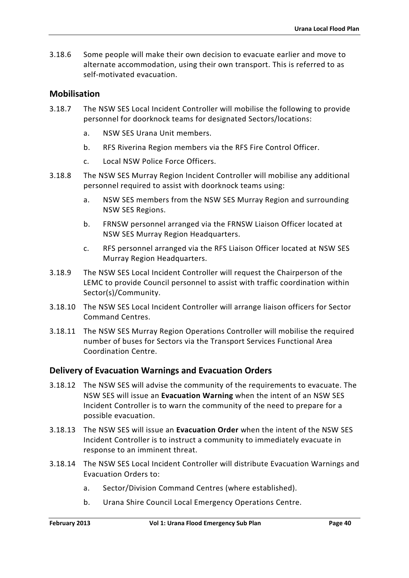3.18.6 Some people will make their own decision to evacuate earlier and move to alternate accommodation, using their own transport. This is referred to as self-motivated evacuation.

## **Mobilisation**

- 3.18.7 The NSW SES Local Incident Controller will mobilise the following to provide personnel for doorknock teams for designated Sectors/locations:
	- a. NSW SES Urana Unit members.
	- b. RFS Riverina Region members via the RFS Fire Control Officer.
	- c. Local NSW Police Force Officers.
- 3.18.8 The NSW SES Murray Region Incident Controller will mobilise any additional personnel required to assist with doorknock teams using:
	- a. NSW SES members from the NSW SES Murray Region and surrounding NSW SES Regions.
	- b. FRNSW personnel arranged via the FRNSW Liaison Officer located at NSW SES Murray Region Headquarters.
	- c. RFS personnel arranged via the RFS Liaison Officer located at NSW SES Murray Region Headquarters.
- 3.18.9 The NSW SES Local Incident Controller will request the Chairperson of the LEMC to provide Council personnel to assist with traffic coordination within Sector(s)/Community.
- 3.18.10 The NSW SES Local Incident Controller will arrange liaison officers for Sector Command Centres.
- 3.18.11 The NSW SES Murray Region Operations Controller will mobilise the required number of buses for Sectors via the Transport Services Functional Area Coordination Centre.

# **Delivery of Evacuation Warnings and Evacuation Orders**

- 3.18.12 The NSW SES will advise the community of the requirements to evacuate. The NSW SES will issue an **Evacuation Warning** when the intent of an NSW SES Incident Controller is to warn the community of the need to prepare for a possible evacuation.
- 3.18.13 The NSW SES will issue an **Evacuation Order** when the intent of the NSW SES Incident Controller is to instruct a community to immediately evacuate in response to an imminent threat.
- 3.18.14 The NSW SES Local Incident Controller will distribute Evacuation Warnings and Evacuation Orders to:
	- a. Sector/Division Command Centres (where established).
	- b. Urana Shire Council Local Emergency Operations Centre.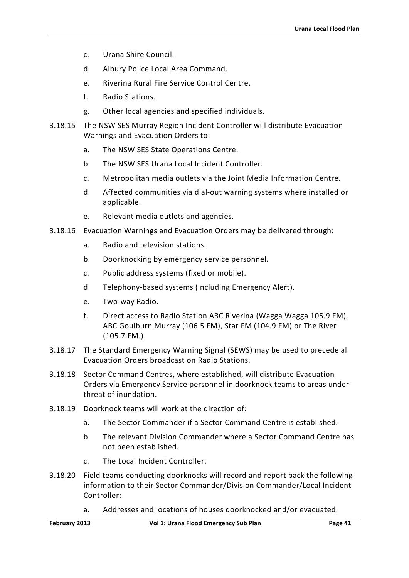- c. Urana Shire Council.
- d. Albury Police Local Area Command.
- e. Riverina Rural Fire Service Control Centre.
- f. Radio Stations.
- g. Other local agencies and specified individuals.
- 3.18.15 The NSW SES Murray Region Incident Controller will distribute Evacuation Warnings and Evacuation Orders to:
	- a. The NSW SES State Operations Centre.
	- b. The NSW SES Urana Local Incident Controller.
	- c. Metropolitan media outlets via the Joint Media Information Centre.
	- d. Affected communities via dial-out warning systems where installed or applicable.
	- e. Relevant media outlets and agencies.
- 3.18.16 Evacuation Warnings and Evacuation Orders may be delivered through:
	- a. Radio and television stations.
	- b. Doorknocking by emergency service personnel.
	- c. Public address systems (fixed or mobile).
	- d. Telephony-based systems (including Emergency Alert).
	- e. Two-way Radio.
	- f. Direct access to Radio Station ABC Riverina (Wagga Wagga 105.9 FM), ABC Goulburn Murray (106.5 FM), Star FM (104.9 FM) or The River (105.7 FM.)
- 3.18.17 The Standard Emergency Warning Signal (SEWS) may be used to precede all Evacuation Orders broadcast on Radio Stations.
- 3.18.18 Sector Command Centres, where established, will distribute Evacuation Orders via Emergency Service personnel in doorknock teams to areas under threat of inundation.
- 3.18.19 Doorknock teams will work at the direction of:
	- a. The Sector Commander if a Sector Command Centre is established.
	- b. The relevant Division Commander where a Sector Command Centre has not been established.
	- c. The Local Incident Controller.
- 3.18.20 Field teams conducting doorknocks will record and report back the following information to their Sector Commander/Division Commander/Local Incident Controller:
	- a. Addresses and locations of houses doorknocked and/or evacuated.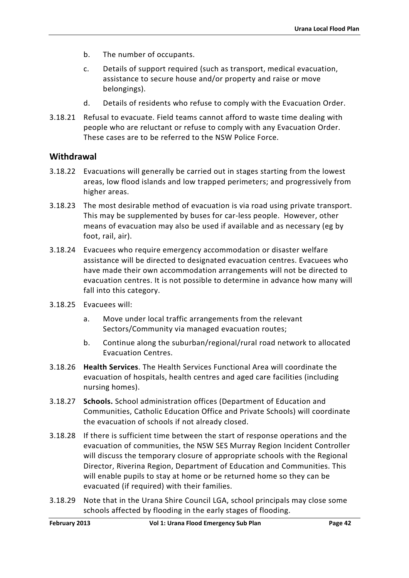- b. The number of occupants.
- c. Details of support required (such as transport, medical evacuation, assistance to secure house and/or property and raise or move belongings).
- d. Details of residents who refuse to comply with the Evacuation Order.
- 3.18.21 Refusal to evacuate. Field teams cannot afford to waste time dealing with people who are reluctant or refuse to comply with any Evacuation Order. These cases are to be referred to the NSW Police Force.

### **Withdrawal**

- 3.18.22 Evacuations will generally be carried out in stages starting from the lowest areas, low flood islands and low trapped perimeters; and progressively from higher areas.
- 3.18.23 The most desirable method of evacuation is via road using private transport. This may be supplemented by buses for car-less people. However, other means of evacuation may also be used if available and as necessary (eg by foot, rail, air).
- 3.18.24 Evacuees who require emergency accommodation or disaster welfare assistance will be directed to designated evacuation centres. Evacuees who have made their own accommodation arrangements will not be directed to evacuation centres. It is not possible to determine in advance how many will fall into this category.
- 3.18.25 Evacuees will:
	- a. Move under local traffic arrangements from the relevant Sectors/Community via managed evacuation routes;
	- b. Continue along the suburban/regional/rural road network to allocated Evacuation Centres.
- 3.18.26 **Health Services**. The Health Services Functional Area will coordinate the evacuation of hospitals, health centres and aged care facilities (including nursing homes).
- 3.18.27 **Schools.** School administration offices (Department of Education and Communities, Catholic Education Office and Private Schools) will coordinate the evacuation of schools if not already closed.
- 3.18.28 If there is sufficient time between the start of response operations and the evacuation of communities, the NSW SES Murray Region Incident Controller will discuss the temporary closure of appropriate schools with the Regional Director, Riverina Region, Department of Education and Communities. This will enable pupils to stay at home or be returned home so they can be evacuated (if required) with their families.
- 3.18.29 Note that in the Urana Shire Council LGA, school principals may close some schools affected by flooding in the early stages of flooding.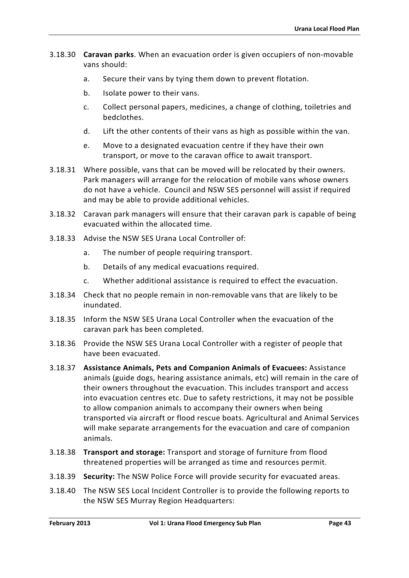- 3.18.30 **Caravan parks**. When an evacuation order is given occupiers of non-movable vans should:
	- a. Secure their vans by tying them down to prevent flotation.
	- b. Isolate power to their vans.
	- c. Collect personal papers, medicines, a change of clothing, toiletries and bedclothes.
	- d. Lift the other contents of their vans as high as possible within the van.
	- e. Move to a designated evacuation centre if they have their own transport, or move to the caravan office to await transport.
- 3.18.31 Where possible, vans that can be moved will be relocated by their owners. Park managers will arrange for the relocation of mobile vans whose owners do not have a vehicle. Council and NSW SES personnel will assist if required and may be able to provide additional vehicles.
- 3.18.32 Caravan park managers will ensure that their caravan park is capable of being evacuated within the allocated time.
- 3.18.33 Advise the NSW SES Urana Local Controller of:
	- a. The number of people requiring transport.
	- b. Details of any medical evacuations required.
	- c. Whether additional assistance is required to effect the evacuation.
- 3.18.34 Check that no people remain in non-removable vans that are likely to be inundated.
- 3.18.35 Inform the NSW SES Urana Local Controller when the evacuation of the caravan park has been completed.
- 3.18.36 Provide the NSW SES Urana Local Controller with a register of people that have been evacuated.
- 3.18.37 **Assistance Animals, Pets and Companion Animals of Evacuees:** Assistance animals (guide dogs, hearing assistance animals, etc) will remain in the care of their owners throughout the evacuation. This includes transport and access into evacuation centres etc. Due to safety restrictions, it may not be possible to allow companion animals to accompany their owners when being transported via aircraft or flood rescue boats. Agricultural and Animal Services will make separate arrangements for the evacuation and care of companion animals.
- 3.18.38 **Transport and storage:** Transport and storage of furniture from flood threatened properties will be arranged as time and resources permit.
- 3.18.39 **Security:** The NSW Police Force will provide security for evacuated areas.
- 3.18.40 The NSW SES Local Incident Controller is to provide the following reports to the NSW SES Murray Region Headquarters: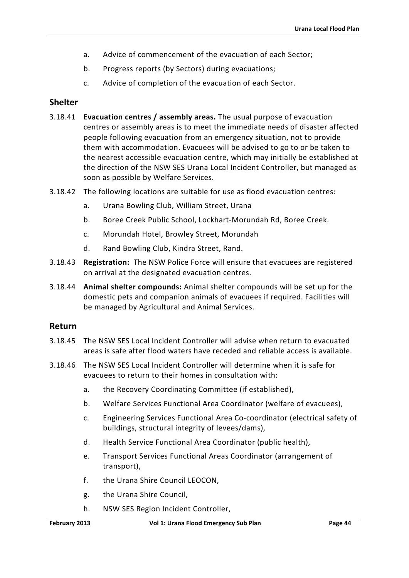- a. Advice of commencement of the evacuation of each Sector;
- b. Progress reports (by Sectors) during evacuations;
- c. Advice of completion of the evacuation of each Sector.

# **Shelter**

- 3.18.41 **Evacuation centres / assembly areas.** The usual purpose of evacuation centres or assembly areas is to meet the immediate needs of disaster affected people following evacuation from an emergency situation, not to provide them with accommodation. Evacuees will be advised to go to or be taken to the nearest accessible evacuation centre, which may initially be established at the direction of the NSW SES Urana Local Incident Controller, but managed as soon as possible by Welfare Services.
- 3.18.42 The following locations are suitable for use as flood evacuation centres:
	- a. Urana Bowling Club, William Street, Urana
	- b. Boree Creek Public School, Lockhart-Morundah Rd, Boree Creek.
	- c. Morundah Hotel, Browley Street, Morundah
	- d. Rand Bowling Club, Kindra Street, Rand.
- 3.18.43 **Registration:** The NSW Police Force will ensure that evacuees are registered on arrival at the designated evacuation centres.
- 3.18.44 **Animal shelter compounds:** Animal shelter compounds will be set up for the domestic pets and companion animals of evacuees if required. Facilities will be managed by Agricultural and Animal Services.

### **Return**

- 3.18.45 The NSW SES Local Incident Controller will advise when return to evacuated areas is safe after flood waters have receded and reliable access is available.
- 3.18.46 The NSW SES Local Incident Controller will determine when it is safe for evacuees to return to their homes in consultation with:
	- a. the Recovery Coordinating Committee (if established),
	- b. Welfare Services Functional Area Coordinator (welfare of evacuees),
	- c. Engineering Services Functional Area Co-coordinator (electrical safety of buildings, structural integrity of levees/dams),
	- d. Health Service Functional Area Coordinator (public health),
	- e. Transport Services Functional Areas Coordinator (arrangement of transport),
	- f. the Urana Shire Council LEOCON,
	- g. the Urana Shire Council,
	- h. NSW SES Region Incident Controller,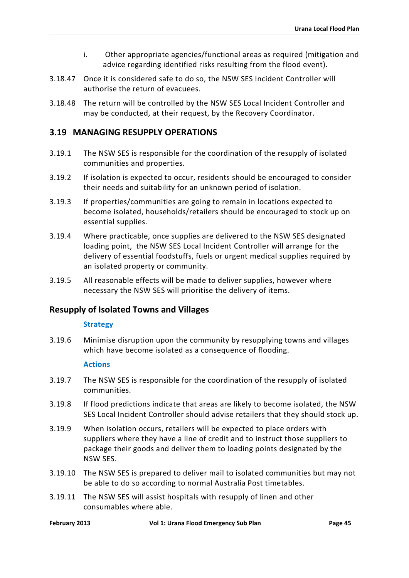- i. Other appropriate agencies/functional areas as required (mitigation and advice regarding identified risks resulting from the flood event).
- 3.18.47 Once it is considered safe to do so, the NSW SES Incident Controller will authorise the return of evacuees.
- 3.18.48 The return will be controlled by the NSW SES Local Incident Controller and may be conducted, at their request, by the Recovery Coordinator.

# <span id="page-45-0"></span>**3.19 MANAGING RESUPPLY OPERATIONS**

- 3.19.1 The NSW SES is responsible for the coordination of the resupply of isolated communities and properties.
- 3.19.2 If isolation is expected to occur, residents should be encouraged to consider their needs and suitability for an unknown period of isolation.
- 3.19.3 If properties/communities are going to remain in locations expected to become isolated, households/retailers should be encouraged to stock up on essential supplies.
- 3.19.4 Where practicable, once supplies are delivered to the NSW SES designated loading point, the NSW SES Local Incident Controller will arrange for the delivery of essential foodstuffs, fuels or urgent medical supplies required by an isolated property or community.
- 3.19.5 All reasonable effects will be made to deliver supplies, however where necessary the NSW SES will prioritise the delivery of items.

# **Resupply of Isolated Towns and Villages**

#### **Strategy**

3.19.6 Minimise disruption upon the community by resupplying towns and villages which have become isolated as a consequence of flooding.

#### **Actions**

- 3.19.7 The NSW SES is responsible for the coordination of the resupply of isolated communities.
- 3.19.8 If flood predictions indicate that areas are likely to become isolated, the NSW SES Local Incident Controller should advise retailers that they should stock up.
- 3.19.9 When isolation occurs, retailers will be expected to place orders with suppliers where they have a line of credit and to instruct those suppliers to package their goods and deliver them to loading points designated by the NSW SES.
- 3.19.10 The NSW SES is prepared to deliver mail to isolated communities but may not be able to do so according to normal Australia Post timetables.
- 3.19.11 The NSW SES will assist hospitals with resupply of linen and other consumables where able.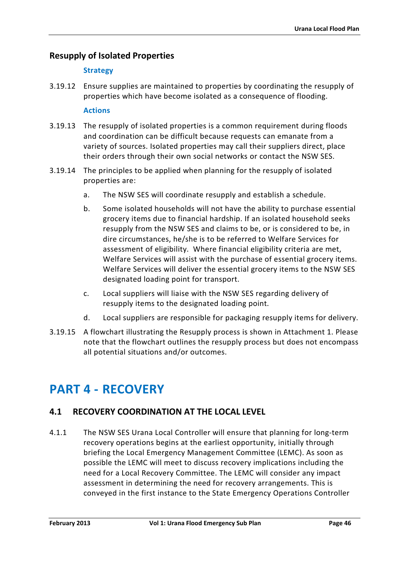# **Resupply of Isolated Properties**

## **Strategy**

3.19.12 Ensure supplies are maintained to properties by coordinating the resupply of properties which have become isolated as a consequence of flooding.

### **Actions**

- 3.19.13 The resupply of isolated properties is a common requirement during floods and coordination can be difficult because requests can emanate from a variety of sources. Isolated properties may call their suppliers direct, place their orders through their own social networks or contact the NSW SES.
- 3.19.14 The principles to be applied when planning for the resupply of isolated properties are:
	- a. The NSW SES will coordinate resupply and establish a schedule.
	- b. Some isolated households will not have the ability to purchase essential grocery items due to financial hardship. If an isolated household seeks resupply from the NSW SES and claims to be, or is considered to be, in dire circumstances, he/she is to be referred to Welfare Services for assessment of eligibility. Where financial eligibility criteria are met, Welfare Services will assist with the purchase of essential grocery items. Welfare Services will deliver the essential grocery items to the NSW SES designated loading point for transport.
	- c. Local suppliers will liaise with the NSW SES regarding delivery of resupply items to the designated loading point.
	- d. Local suppliers are responsible for packaging resupply items for delivery.
- 3.19.15 A flowchart illustrating the Resupply process is shown in Attachment 1. Please note that the flowchart outlines the resupply process but does not encompass all potential situations and/or outcomes.

# <span id="page-46-0"></span>**PART 4 - RECOVERY**

# <span id="page-46-1"></span>**4.1 RECOVERY COORDINATION AT THE LOCAL LEVEL**

4.1.1 The NSW SES Urana Local Controller will ensure that planning for long-term recovery operations begins at the earliest opportunity, initially through briefing the Local Emergency Management Committee (LEMC). As soon as possible the LEMC will meet to discuss recovery implications including the need for a Local Recovery Committee. The LEMC will consider any impact assessment in determining the need for recovery arrangements. This is conveyed in the first instance to the State Emergency Operations Controller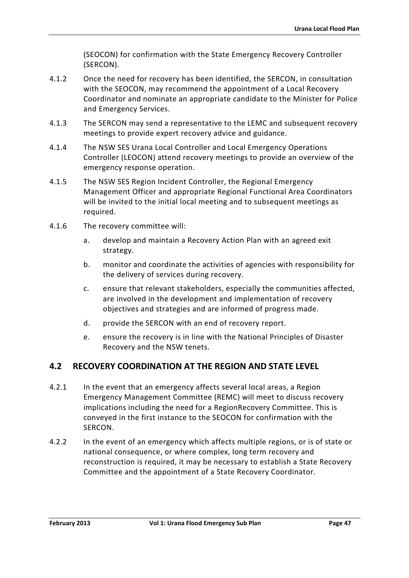(SEOCON) for confirmation with the State Emergency Recovery Controller (SERCON).

- 4.1.2 Once the need for recovery has been identified, the SERCON, in consultation with the SEOCON, may recommend the appointment of a Local Recovery Coordinator and nominate an appropriate candidate to the Minister for Police and Emergency Services.
- 4.1.3 The SERCON may send a representative to the LEMC and subsequent recovery meetings to provide expert recovery advice and guidance.
- 4.1.4 The NSW SES Urana Local Controller and Local Emergency Operations Controller (LEOCON) attend recovery meetings to provide an overview of the emergency response operation.
- 4.1.5 The NSW SES Region Incident Controller, the Regional Emergency Management Officer and appropriate Regional Functional Area Coordinators will be invited to the initial local meeting and to subsequent meetings as required.
- 4.1.6 The recovery committee will:
	- a. develop and maintain a Recovery Action Plan with an agreed exit strategy.
	- b. monitor and coordinate the activities of agencies with responsibility for the delivery of services during recovery.
	- c. ensure that relevant stakeholders, especially the communities affected, are involved in the development and implementation of recovery objectives and strategies and are informed of progress made.
	- d. provide the SERCON with an end of recovery report.
	- e. ensure the recovery is in line with the National Principles of Disaster Recovery and the NSW tenets.

# <span id="page-47-0"></span>**4.2 RECOVERY COORDINATION AT THE REGION AND STATE LEVEL**

- 4.2.1 In the event that an emergency affects several local areas, a Region Emergency Management Committee (REMC) will meet to discuss recovery implications including the need for a RegionRecovery Committee. This is conveyed in the first instance to the SEOCON for confirmation with the SERCON.
- 4.2.2 In the event of an emergency which affects multiple regions, or is of state or national consequence, or where complex, long term recovery and reconstruction is required, it may be necessary to establish a State Recovery Committee and the appointment of a State Recovery Coordinator.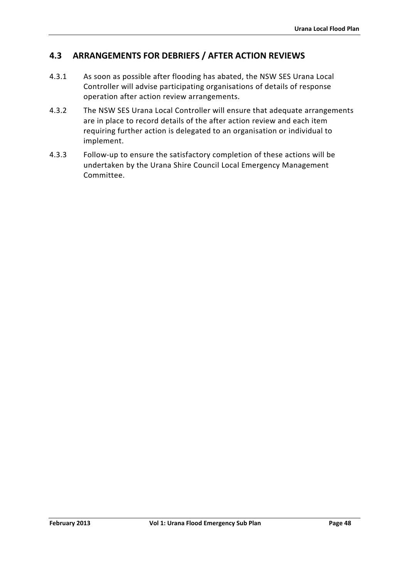# <span id="page-48-0"></span>**4.3 ARRANGEMENTS FOR DEBRIEFS / AFTER ACTION REVIEWS**

- 4.3.1 As soon as possible after flooding has abated, the NSW SES Urana Local Controller will advise participating organisations of details of response operation after action review arrangements.
- 4.3.2 The NSW SES Urana Local Controller will ensure that adequate arrangements are in place to record details of the after action review and each item requiring further action is delegated to an organisation or individual to implement.
- 4.3.3 Follow-up to ensure the satisfactory completion of these actions will be undertaken by the Urana Shire Council Local Emergency Management Committee.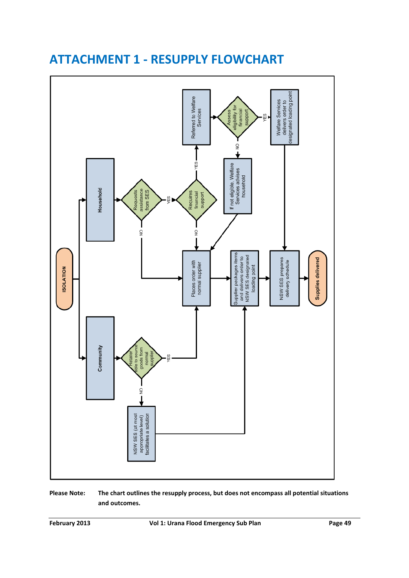

# <span id="page-49-0"></span>**ATTACHMENT 1 - RESUPPLY FLOWCHART**

**Please Note: The chart outlines the resupply process, but does not encompass all potential situations and outcomes.**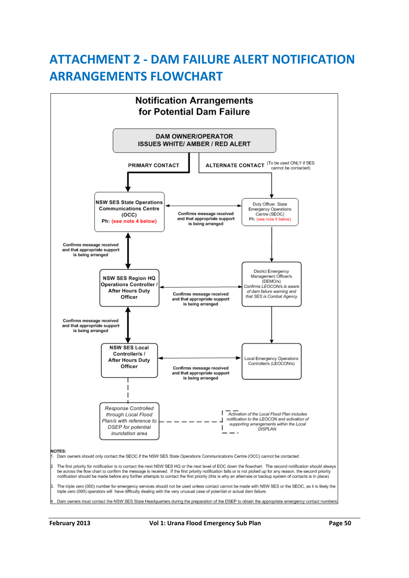# <span id="page-50-0"></span>**ATTACHMENT 2 - DAM FAILURE ALERT NOTIFICATION ARRANGEMENTS FLOWCHART**